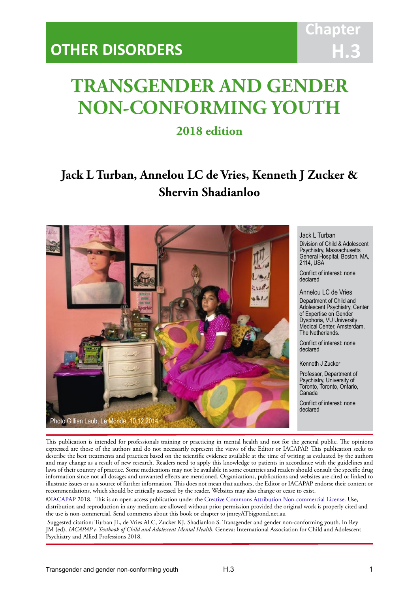

# **TRANSGENDER AND GENDER NON-CONFORMING YOUTH**

IACAPAP Textbook of Child and Adolescent Mental Health

## **2018 edition**

## **Jack L Turban, Annelou LC de Vries, Kenneth J Zucker & Shervin Shadianloo**



Jack L Turban

Division of Child & Adolescent Psychiatry, Massachusetts General Hospital, Boston, MA, 2114, USA

Conflict of interest: none declared

Annelou LC de Vries Department of Child and Adolescent Psychiatry, Center of Expertise on Gender Dysphoria, VU University Medical Center, Amsterdam, The Netherlands.

Conflict of interest: none declared

Kenneth J Zucker

Professor, Department of Psychiatry, University of Toronto, Toronto, Ontario, Canada

Conflict of interest: none declared

This publication is intended for professionals training or practicing in mental health and not for the general public. The opinions expressed are those of the authors and do not necessarily represent the views of the Editor or IACAPAP. This publication seeks to describe the best treatments and practices based on the scientific evidence available at the time of writing as evaluated by the authors and may change as a result of new research. Readers need to apply this knowledge to patients in accordance with the guidelines and laws of their country of practice. Some medications may not be available in some countries and readers should consult the specific drug information since not all dosages and unwanted effects are mentioned. Organizations, publications and websites are cited or linked to illustrate issues or as a source of further information. This does not mean that authors, the Editor or IACAPAP endorse their content or recommendations, which should be critically assessed by the reader. Websites may also change or cease to exist.

[©IACAPAP](http://iacapap.org/) 2018. This is an open-access publication under the [Creative Commons Attribution Non-commercial License](http://creativecommons.org/licenses/by-nc/2.0/). Use, distribution and reproduction in any medium are allowed without prior permission provided the original work is properly cited and the use is non-commercial. Send comments about this book or chapter to jmreyATbigpond.net.au

 Suggested citation: Turban JL, de Vries ALC, Zucker KJ, Shadianloo S. Transgender and gender non-conforming youth. In Rey JM (ed), *IACAPAP e-Textbook of Child and Adolescent Mental Health*. Geneva: International Association for Child and Adolescent Psychiatry and Allied Professions 2018.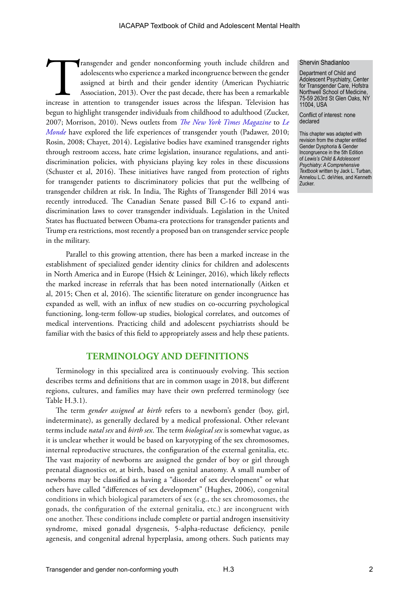Transgender and gender nonconforming youth include children and adolescents who experience a marked incongruence between the gender assigned at birth and their gender identity (American Psychiatric Association, 2013). Over adolescents who experience a marked incongruence between the gender assigned at birth and their gender identity (American Psychiatric Association, 2013). Over the past decade, there has been a remarkable begun to highlight transgender individuals from childhood to adulthood (Zucker, 2007; Morrison, 2010). News outlets from *[The New York Times Magazine](https://www.nytimes.com/2017/04/08/opinion/sunday/hannah-is-a-girl-doctors-finally-treat-her-like-one.html)* to *[Le](http://www.lemonde.fr/m-actu/article/2014/12/10/moi-nikki-13-ans-nee-niko_4534297_4497186.html)  [Monde](http://www.lemonde.fr/m-actu/article/2014/12/10/moi-nikki-13-ans-nee-niko_4534297_4497186.html)* have explored the life experiences of transgender youth (Padawer, 2010; Rosin, 2008; Chayet, 2014). Legislative bodies have examined transgender rights through restroom access, hate crime legislation, insurance regulations, and antidiscrimination policies, with physicians playing key roles in these discussions (Schuster et al, 2016). These initiatives have ranged from protection of rights for transgender patients to discriminatory policies that put the wellbeing of transgender children at risk. In India, The Rights of Transgender Bill 2014 was recently introduced. The Canadian Senate passed Bill C-16 to expand antidiscrimination laws to cover transgender individuals. Legislation in the United States has fluctuated between Obama-era protections for transgender patients and Trump era restrictions, most recently a proposed ban on transgender service people in the military.

Parallel to this growing attention, there has been a marked increase in the establishment of specialized gender identity clinics for children and adolescents in North America and in Europe (Hsieh & Leininger, 2016), which likely reflects the marked increase in referrals that has been noted internationally (Aitken et al, 2015; Chen et al, 2016). The scientific literature on gender incongruence has expanded as well, with an influx of new studies on co-occurring psychological functioning, long-term follow-up studies, biological correlates, and outcomes of medical interventions. Practicing child and adolescent psychiatrists should be familiar with the basics of this field to appropriately assess and help these patients.

#### **TERMINOLOGY AND DEFINITIONS**

Terminology in this specialized area is continuously evolving. This section describes terms and definitions that are in common usage in 2018, but different regions, cultures, and families may have their own preferred terminology (see Table H.3.1).

The term *gender assigned at birth* refers to a newborn's gender (boy, girl, indeterminate), as generally declared by a medical professional. Other relevant terms include *natal sex* and *birth sex*. The term *biological sex* is somewhat vague, as it is unclear whether it would be based on karyotyping of the sex chromosomes, internal reproductive structures, the configuration of the external genitalia, etc. The vast majority of newborns are assigned the gender of boy or girl through prenatal diagnostics or, at birth, based on genital anatomy. A small number of newborns may be classified as having a "disorder of sex development" or what others have called "differences of sex development" (Hughes, 2006), congenital conditions in which biological parameters of sex (e.g., the sex chromosomes, the gonads, the configuration of the external genitalia, etc.) are incongruent with one another. These conditions include complete or partial androgen insensitivity syndrome, mixed gonadal dysgenesis, 5-alpha-reductase deficiency, penile agenesis, and congenital adrenal hyperplasia, among others. Such patients may

#### Shervin Shadianloo

Department of Child and Adolescent Psychiatry, Center for Transgender Care, Hofstra Northwell School of Medicine, 75-59 263rd St Glen Oaks, NY 11004, USA

Conflict of interest: none declared

This chapter was adapted with revision from the chapter entitled Gender Dysphoria & Gender Incongruence in the 5th Edition of *Lewis's Child & Adolescent Psychiatry: A Comprehensive Textbook* written by Jack L. Turban, Annelou L.C. deVries, and Kenneth Zucker.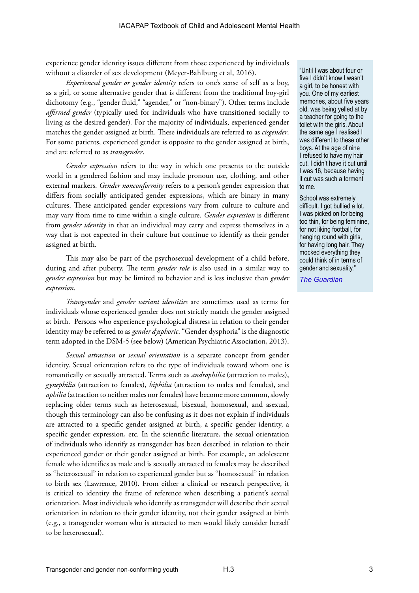experience gender identity issues different from those experienced by individuals without a disorder of sex development (Meyer-Bahlburg et al, 2016).

*Experienced gender or gender identity* refers to one's sense of self as a boy, as a girl, or some alternative gender that is different from the traditional boy-girl dichotomy (e.g., "gender fluid," "agender," or "non-binary"). Other terms include *affirmed gender* (typically used for individuals who have transitioned socially to living as the desired gender)*.* For the majority of individuals, experienced gender matches the gender assigned at birth. These individuals are referred to as *cisgender*. For some patients, experienced gender is opposite to the gender assigned at birth, and are referred to as *transgender*.

*Gender expression* refers to the way in which one presents to the outside world in a gendered fashion and may include pronoun use, clothing, and other external markers. *Gender nonconformity* refers to a person's gender expression that differs from socially anticipated gender expressions, which are binary in many cultures. These anticipated gender expressions vary from culture to culture and may vary from time to time within a single culture. *Gender expression* is different from *gender identity* in that an individual may carry and express themselves in a way that is not expected in their culture but continue to identify as their gender assigned at birth.

This may also be part of the psychosexual development of a child before, during and after puberty. The term *gender role* is also used in a similar way to *gender expression* but may be limited to behavior and is less inclusive than *gender expression.*

*Transgender* and *gender variant identities* are sometimes used as terms for individuals whose experienced gender does not strictly match the gender assigned at birth. Persons who experience psychological distress in relation to their gender identity may be referred to as *gender dysphoric*. "Gender dysphoria" is the diagnostic term adopted in the DSM-5 (see below) (American Psychiatric Association, 2013).

*Sexual attraction* or *sexual orientation* is a separate concept from gender identity. Sexual orientation refers to the type of individuals toward whom one is romantically or sexually attracted. Terms such as *androphilia* (attraction to males), *gynephilia* (attraction to females), *biphilia* (attraction to males and females), and *aphilia* (attraction to neither males nor females) have become more common, slowly replacing older terms such as heterosexual, bisexual, homosexual, and asexual, though this terminology can also be confusing as it does not explain if individuals are attracted to a specific gender assigned at birth, a specific gender identity, a specific gender expression, etc. In the scientific literature, the sexual orientation of individuals who identify as transgender has been described in relation to their experienced gender or their gender assigned at birth. For example, an adolescent female who identifies as male and is sexually attracted to females may be described as "heterosexual" in relation to experienced gender but as "homosexual" in relation to birth sex (Lawrence, 2010). From either a clinical or research perspective, it is critical to identity the frame of reference when describing a patient's sexual orientation. Most individuals who identify as transgender will describe their sexual orientation in relation to their gender identity, not their gender assigned at birth (e.g., a transgender woman who is attracted to men would likely consider herself to be heterosexual).

"Until I was about four or five I didn't know I wasn't a girl, to be honest with you. One of my earliest memories, about five years old, was being yelled at by a teacher for going to the toilet with the girls. About the same age I realised I was different to these other boys. At the age of nine I refused to have my hair cut. I didn't have it cut until I was 16, because having it cut was such a torment to me.

School was extremely difficult. I got bullied a lot. I was picked on for being too thin, for being feminine, for not liking football, for hanging round with girls, for having long hair. They mocked everything they could think of in terms of gender and sexuality."

*[The Guardian](https://www.theguardian.com/society/2016/jul/10/transgender-stories-people-think-we-wake-up-and-decide-to-be-trans)*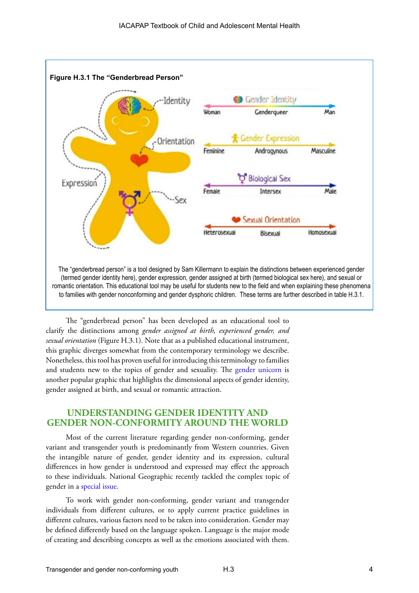

The "genderbread person" has been developed as an educational tool to clarify the distinctions among *gender assigned at birth, experienced gender, and sexual orientation* (Figure H.3.1). Note that as a published educational instrument, this graphic diverges somewhat from the contemporary terminology we describe. Nonetheless, this tool has proven useful for introducing this terminology to families and students new to the topics of gender and sexuality. The [gender unicorn](http://www.transstudent.org/gender?gclid=CjwKCAiAxarQBRAmEiwA6YcGKBQidpmMANvzpebXAX2N4ZzS_qOaM5FJCvVOjhwN77Cdhm1_hBOamBoC4GUQAvD_BwE) is another popular graphic that highlights the dimensional aspects of gender identity, gender assigned at birth, and sexual or romantic attraction.

#### **UNDERSTANDING GENDER IDENTITY AND GENDER NON-CONFORMITY AROUND THE WORLD**

Most of the current literature regarding gender non-conforming, gender variant and transgender youth is predominantly from Western countries. Given the intangible nature of gender, gender identity and its expression, cultural differences in how gender is understood and expressed may effect the approach to these individuals. National Geographic recently tackled the complex topic of gender in a [special issue.](https://www.nationalgeographic.com/magazine/2017/01/)

To work with gender non-conforming, gender variant and transgender individuals from different cultures, or to apply current practice guidelines in different cultures, various factors need to be taken into consideration. Gender may be defined differently based on the language spoken. Language is the major mode of creating and describing concepts as well as the emotions associated with them.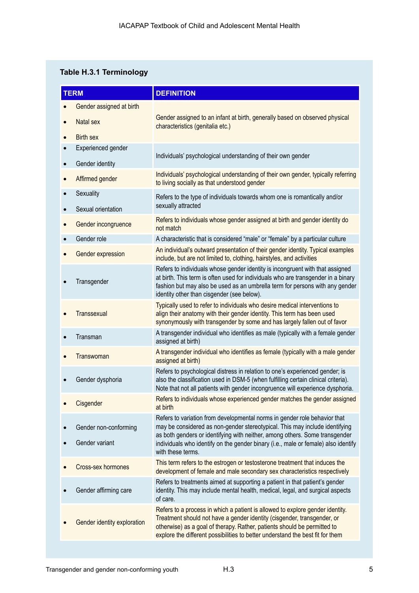## **Table H.3.1 Terminology**

|                        | <b>TERM</b>                             | <b>DEFINITION</b>                                                                                                                                                                                                                                                                                                                                  |
|------------------------|-----------------------------------------|----------------------------------------------------------------------------------------------------------------------------------------------------------------------------------------------------------------------------------------------------------------------------------------------------------------------------------------------------|
|                        | Gender assigned at birth                |                                                                                                                                                                                                                                                                                                                                                    |
|                        | Natal sex                               | Gender assigned to an infant at birth, generally based on observed physical<br>characteristics (genitalia etc.)                                                                                                                                                                                                                                    |
| $\bullet$              | <b>Birth sex</b>                        |                                                                                                                                                                                                                                                                                                                                                    |
| $\bullet$<br>$\bullet$ | Experienced gender<br>Gender identity   | Individuals' psychological understanding of their own gender                                                                                                                                                                                                                                                                                       |
|                        | Affirmed gender                         | Individuals' psychological understanding of their own gender, typically referring<br>to living socially as that understood gender                                                                                                                                                                                                                  |
|                        | Sexuality<br>Sexual orientation         | Refers to the type of individuals towards whom one is romantically and/or<br>sexually attracted                                                                                                                                                                                                                                                    |
|                        | Gender incongruence                     | Refers to individuals whose gender assigned at birth and gender identity do<br>not match                                                                                                                                                                                                                                                           |
|                        | Gender role                             | A characteristic that is considered "male" or "female" by a particular culture                                                                                                                                                                                                                                                                     |
|                        | Gender expression                       | An individual's outward presentation of their gender identity. Typical examples<br>include, but are not limited to, clothing, hairstyles, and activities                                                                                                                                                                                           |
|                        | Transgender                             | Refers to individuals whose gender identity is incongruent with that assigned<br>at birth. This term is often used for individuals who are transgender in a binary<br>fashion but may also be used as an umbrella term for persons with any gender<br>identity other than cisgender (see below).                                                   |
|                        | Transsexual                             | Typically used to refer to individuals who desire medical interventions to<br>align their anatomy with their gender identity. This term has been used<br>synonymously with transgender by some and has largely fallen out of favor                                                                                                                 |
|                        | Transman                                | A transgender individual who identifies as male (typically with a female gender<br>assigned at birth)                                                                                                                                                                                                                                              |
|                        | Transwoman                              | A transgender individual who identifies as female (typically with a male gender<br>assigned at birth)                                                                                                                                                                                                                                              |
|                        | Gender dysphoria                        | Refers to psychological distress in relation to one's experienced gender; is<br>also the classification used in DSM-5 (when fulfilling certain clinical criteria).<br>Note that not all patients with gender incongruence will experience dysphoria.                                                                                               |
|                        | Cisgender                               | Refers to individuals whose experienced gender matches the gender assigned<br>at birth                                                                                                                                                                                                                                                             |
|                        | Gender non-conforming<br>Gender variant | Refers to variation from developmental norms in gender role behavior that<br>may be considered as non-gender stereotypical. This may include identifying<br>as both genders or identifying with neither, among others. Some transgender<br>individuals who identify on the gender binary (i.e., male or female) also identify<br>with these terms. |
|                        | Cross-sex hormones                      | This term refers to the estrogen or testosterone treatment that induces the<br>development of female and male secondary sex characteristics respectively                                                                                                                                                                                           |
|                        | Gender affirming care                   | Refers to treatments aimed at supporting a patient in that patient's gender<br>identity. This may include mental health, medical, legal, and surgical aspects<br>of care.                                                                                                                                                                          |
|                        | Gender identity exploration             | Refers to a process in which a patient is allowed to explore gender identity.<br>Treatment should not have a gender identity (cisgender, transgender, or<br>otherwise) as a goal of therapy. Rather, patients should be permitted to<br>explore the different possibilities to better understand the best fit for them                             |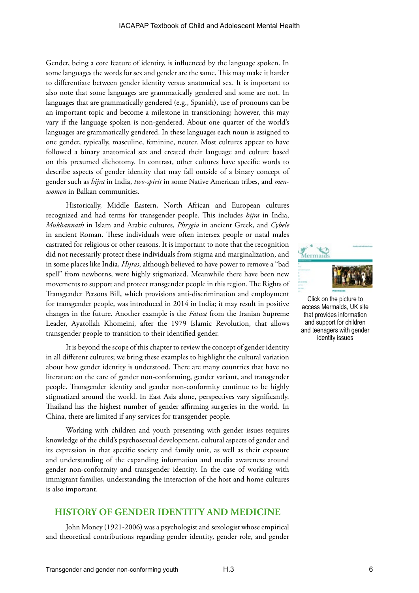Gender, being a core feature of identity, is influenced by the language spoken. In some languages the words for sex and gender are the same. This may make it harder to differentiate between gender identity versus anatomical sex. It is important to also note that some languages are grammatically gendered and some are not. In languages that are grammatically gendered (e.g., Spanish), use of pronouns can be an important topic and become a milestone in transitioning; however, this may vary if the language spoken is non-gendered. About one quarter of the world's languages are grammatically gendered. In these languages each noun is assigned to one gender, typically, masculine, feminine, neuter. Most cultures appear to have followed a binary anatomical sex and created their language and culture based on this presumed dichotomy. In contrast, other cultures have specific words to describe aspects of gender identity that may fall outside of a binary concept of gender such as *hijra* in India, *two-spirit* in some Native American tribes, and *menwomen* in Balkan communities.

Historically, Middle Eastern, North African and European cultures recognized and had terms for transgender people. This includes *hijra* in India, *Mukhannath* in Islam and Arabic cultures, *Phrygia* in ancient Greek, and *Cybele* in ancient Roman. These individuals were often intersex people or natal males castrated for religious or other reasons. It is important to note that the recognition did not necessarily protect these individuals from stigma and marginalization, and in some places like India, *Hijras*, although believed to have power to remove a "bad spell" from newborns, were highly stigmatized. Meanwhile there have been new movements to support and protect transgender people in this region. The Rights of Transgender Persons Bill, which provisions anti-discrimination and employment for transgender people, was introduced in 2014 in India; it may result in positive changes in the future. Another example is the *Fatwa* from the Iranian Supreme Leader, Ayatollah Khomeini, after the 1979 Islamic Revolution, that allows transgender people to transition to their identified gender.

It is beyond the scope of this chapter to review the concept of gender identity in all different cultures; we bring these examples to highlight the cultural variation about how gender identity is understood. There are many countries that have no literature on the care of gender non-conforming, gender variant, and transgender people. Transgender identity and gender non-conformity continue to be highly stigmatized around the world. In East Asia alone, perspectives vary significantly. Thailand has the highest number of gender affirming surgeries in the world. In China, there are limited if any services for transgender people.

Working with children and youth presenting with gender issues requires knowledge of the child's psychosexual development, cultural aspects of gender and its expression in that specific society and family unit, as well as their exposure and understanding of the expanding information and media awareness around gender non-conformity and transgender identity. In the case of working with immigrant families, understanding the interaction of the host and home cultures is also important.

#### **HISTORY OF GENDER IDENTITY AND MEDICINE**

John Money (1921-2006) was a psychologist and sexologist whose empirical and theoretical contributions regarding gender identity, gender role, and gender



Click on the picture to access Mermaids, UK site that provides information and support for children and teenagers with gender identity issues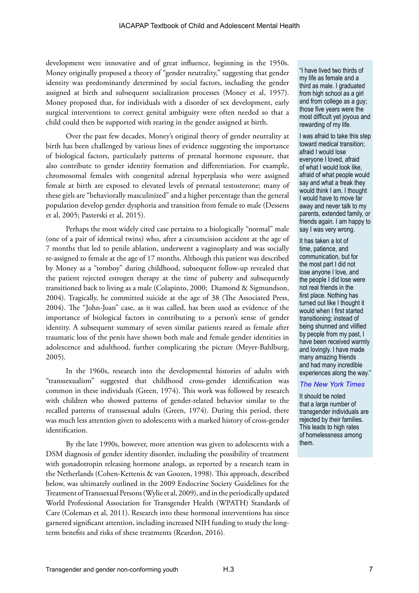development were innovative and of great influence, beginning in the 1950s. Money originally proposed a theory of "gender neutrality," suggesting that gender identity was predominantly determined by social factors, including the gender assigned at birth and subsequent socialization processes (Money et al, 1957). Money proposed that, for individuals with a disorder of sex development, early surgical interventions to correct genital ambiguity were often needed so that a child could then be supported with rearing in the gender assigned at birth.

Over the past few decades, Money's original theory of gender neutrality at birth has been challenged by various lines of evidence suggesting the importance of biological factors, particularly patterns of prenatal hormone exposure, that also contribute to gender identity formation and differentiation. For example, chromosomal females with congenital adrenal hyperplasia who were assigned female at birth are exposed to elevated levels of prenatal testosterone; many of these girls are "behaviorally masculinized" and a higher percentage than the general population develop gender dysphoria and transition from female to male (Dessens et al, 2005; Pasterski et al, 2015).

Perhaps the most widely cited case pertains to a biologically "normal" male (one of a pair of identical twins) who, after a circumcision accident at the age of 7 months that led to penile ablation, underwent a vaginoplasty and was socially re-assigned to female at the age of 17 months. Although this patient was described by Money as a "tomboy" during childhood, subsequent follow-up revealed that the patient rejected estrogen therapy at the time of puberty and subsequently transitioned back to living as a male (Colapinto, 2000; Diamond & Sigmundson, 2004). Tragically, he committed suicide at the age of 38 (The Associated Press, 2004). The "John-Joan" case, as it was called, has been used as evidence of the importance of biological factors in contributing to a person's sense of gender identity. A subsequent summary of seven similar patients reared as female after traumatic loss of the penis have shown both male and female gender identities in adolescence and adulthood, further complicating the picture (Meyer-Bahlburg, 2005).

In the 1960s, research into the developmental histories of adults with "transsexualism" suggested that childhood cross-gender identification was common in these individuals (Green, 1974). This work was followed by research with children who showed patterns of gender-related behavior similar to the recalled patterns of transsexual adults (Green, 1974). During this period, there was much less attention given to adolescents with a marked history of cross-gender identification.

By the late 1990s, however, more attention was given to adolescents with a DSM diagnosis of gender identity disorder, including the possibility of treatment with gonadotropin releasing hormone analogs, as reported by a research team in the Netherlands (Cohen-Kettenis & van Goozen, 1998). This approach, described below, was ultimately outlined in the 2009 Endocrine Society Guidelines for the Treatment of Transsexual Persons (Wylie et al, 2009), and in the periodically updated World Professional Association for Transgender Health (WPATH) Standards of Care (Coleman et al, 2011). Research into these hormonal interventions has since garnered significant attention, including increased NIH funding to study the longterm benefits and risks of these treatments (Reardon, 2016).

"I have lived two thirds of my life as female and a third as male. I graduated from high school as a girl and from college as a guy; those five years were the most difficult yet joyous and rewarding of my life.

I was afraid to take this step toward medical transition; afraid I would lose everyone I loved, afraid of what I would look like, afraid of what people would say and what a freak they would think I am. I thought I would have to move far away and never talk to my parents, extended family, or friends again. I am happy to say I was very wrong.

It has taken a lot of time, patience, and communication, but for the most part I did not lose anyone I love, and the people I did lose were not real friends in the first place. Nothing has turned out like I thought it would when I first started transitioning; instead of being shunned and vilified by people from my past, I have been received warmly and lovingly. I have made many amazing friends and had many incredible experiences along the way."

#### *[The New York Times](https://www.nytimes.com/interactive/2015/opinion/transgender-today/stories/charles-thomy)*

It should be noted that a large number of transgender individuals are rejected by their families. This leads to high rates of homelessness among them.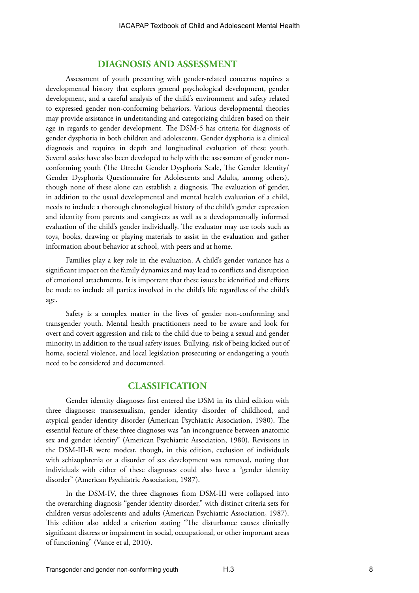#### **DIAGNOSIS AND ASSESSMENT**

Assessment of youth presenting with gender-related concerns requires a developmental history that explores general psychological development, gender development, and a careful analysis of the child's environment and safety related to expressed gender non-conforming behaviors. Various developmental theories may provide assistance in understanding and categorizing children based on their age in regards to gender development. The DSM-5 has criteria for diagnosis of gender dysphoria in both children and adolescents. Gender dysphoria is a clinical diagnosis and requires in depth and longitudinal evaluation of these youth. Several scales have also been developed to help with the assessment of gender nonconforming youth (The Utrecht Gender Dysphoria Scale, The Gender Identity/ Gender Dysphoria Questionnaire for Adolescents and Adults, among others), though none of these alone can establish a diagnosis. The evaluation of gender, in addition to the usual developmental and mental health evaluation of a child, needs to include a thorough chronological history of the child's gender expression and identity from parents and caregivers as well as a developmentally informed evaluation of the child's gender individually. The evaluator may use tools such as toys, books, drawing or playing materials to assist in the evaluation and gather information about behavior at school, with peers and at home.

Families play a key role in the evaluation. A child's gender variance has a significant impact on the family dynamics and may lead to conflicts and disruption of emotional attachments. It is important that these issues be identified and efforts be made to include all parties involved in the child's life regardless of the child's age.

Safety is a complex matter in the lives of gender non-conforming and transgender youth. Mental health practitioners need to be aware and look for overt and covert aggression and risk to the child due to being a sexual and gender minority, in addition to the usual safety issues. Bullying, risk of being kicked out of home, societal violence, and local legislation prosecuting or endangering a youth need to be considered and documented.

#### **CLASSIFICATION**

Gender identity diagnoses first entered the DSM in its third edition with three diagnoses: transsexualism, gender identity disorder of childhood, and atypical gender identity disorder (American Psychiatric Association, 1980). The essential feature of these three diagnoses was "an incongruence between anatomic sex and gender identity" (American Psychiatric Association, 1980). Revisions in the DSM-III-R were modest, though, in this edition, exclusion of individuals with schizophrenia or a disorder of sex development was removed, noting that individuals with either of these diagnoses could also have a "gender identity disorder" (American Psychiatric Association, 1987).

In the DSM-IV, the three diagnoses from DSM-III were collapsed into the overarching diagnosis "gender identity disorder," with distinct criteria sets for children versus adolescents and adults (American Psychiatric Association, 1987). This edition also added a criterion stating "The disturbance causes clinically significant distress or impairment in social, occupational, or other important areas of functioning" (Vance et al, 2010).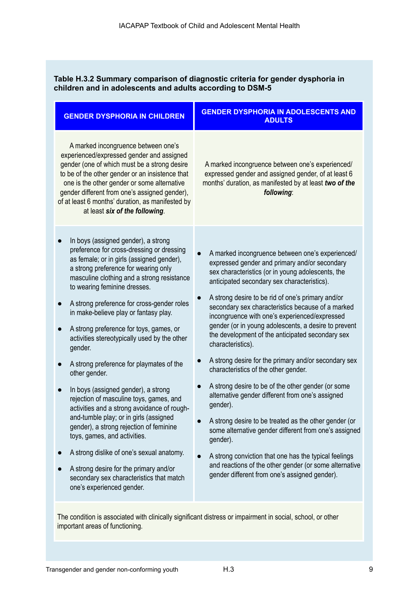## **Table H.3.2 Summary comparison of diagnostic criteria for gender dysphoria in children and in adolescents and adults according to DSM-5**

| <b>GENDER DYSPHORIA IN CHILDREN</b>                                                                                                                                                                                                                                                                                                                                                                                                                                                                                                                                                                                                                                                                                                                                                                                                                                                                                                 | <b>GENDER DYSPHORIA IN ADOLESCENTS AND</b><br><b>ADULTS</b>                                                                                                                                                                                                                                                                                                                                                                                                                                                                                                                                                                                                                                                                                                                                                                                                                                                                                                                                                               |
|-------------------------------------------------------------------------------------------------------------------------------------------------------------------------------------------------------------------------------------------------------------------------------------------------------------------------------------------------------------------------------------------------------------------------------------------------------------------------------------------------------------------------------------------------------------------------------------------------------------------------------------------------------------------------------------------------------------------------------------------------------------------------------------------------------------------------------------------------------------------------------------------------------------------------------------|---------------------------------------------------------------------------------------------------------------------------------------------------------------------------------------------------------------------------------------------------------------------------------------------------------------------------------------------------------------------------------------------------------------------------------------------------------------------------------------------------------------------------------------------------------------------------------------------------------------------------------------------------------------------------------------------------------------------------------------------------------------------------------------------------------------------------------------------------------------------------------------------------------------------------------------------------------------------------------------------------------------------------|
| A marked incongruence between one's<br>experienced/expressed gender and assigned<br>gender (one of which must be a strong desire<br>to be of the other gender or an insistence that<br>one is the other gender or some alternative<br>gender different from one's assigned gender),<br>of at least 6 months' duration, as manifested by<br>at least six of the following.                                                                                                                                                                                                                                                                                                                                                                                                                                                                                                                                                           | A marked incongruence between one's experienced/<br>expressed gender and assigned gender, of at least 6<br>months' duration, as manifested by at least two of the<br>following:                                                                                                                                                                                                                                                                                                                                                                                                                                                                                                                                                                                                                                                                                                                                                                                                                                           |
| In boys (assigned gender), a strong<br>preference for cross-dressing or dressing<br>as female; or in girls (assigned gender),<br>a strong preference for wearing only<br>masculine clothing and a strong resistance<br>to wearing feminine dresses.<br>A strong preference for cross-gender roles<br>in make-believe play or fantasy play.<br>A strong preference for toys, games, or<br>activities stereotypically used by the other<br>gender.<br>A strong preference for playmates of the<br>other gender.<br>In boys (assigned gender), a strong<br>rejection of masculine toys, games, and<br>activities and a strong avoidance of rough-<br>and-tumble play; or in girls (assigned<br>gender), a strong rejection of feminine<br>toys, games, and activities.<br>A strong dislike of one's sexual anatomy.<br>A strong desire for the primary and/or<br>secondary sex characteristics that match<br>one's experienced gender. | A marked incongruence between one's experienced/<br>expressed gender and primary and/or secondary<br>sex characteristics (or in young adolescents, the<br>anticipated secondary sex characteristics).<br>A strong desire to be rid of one's primary and/or<br>secondary sex characteristics because of a marked<br>incongruence with one's experienced/expressed<br>gender (or in young adolescents, a desire to prevent<br>the development of the anticipated secondary sex<br>characteristics).<br>A strong desire for the primary and/or secondary sex<br>characteristics of the other gender.<br>A strong desire to be of the other gender (or some<br>alternative gender different from one's assigned<br>gender).<br>A strong desire to be treated as the other gender (or<br>some alternative gender different from one's assigned<br>gender).<br>A strong conviction that one has the typical feelings<br>and reactions of the other gender (or some alternative<br>gender different from one's assigned gender). |

The condition is associated with clinically significant distress or impairment in social, school, or other important areas of functioning.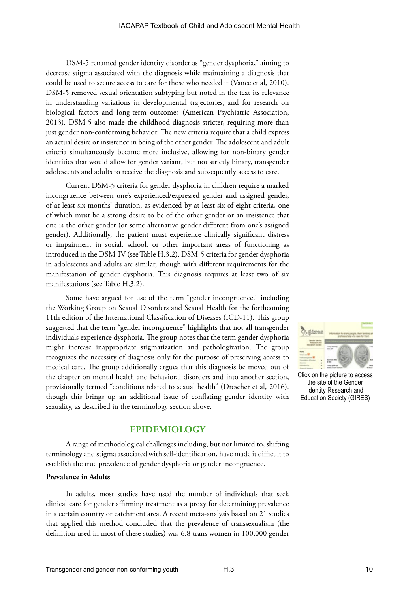DSM-5 renamed gender identity disorder as "gender dysphoria," aiming to decrease stigma associated with the diagnosis while maintaining a diagnosis that could be used to secure access to care for those who needed it (Vance et al, 2010). DSM-5 removed sexual orientation subtyping but noted in the text its relevance in understanding variations in developmental trajectories, and for research on biological factors and long-term outcomes (American Psychiatric Association, 2013). DSM-5 also made the childhood diagnosis stricter, requiring more than just gender non-conforming behavior. The new criteria require that a child express an actual desire or insistence in being of the other gender. The adolescent and adult criteria simultaneously became more inclusive, allowing for non-binary gender identities that would allow for gender variant, but not strictly binary, transgender adolescents and adults to receive the diagnosis and subsequently access to care.

Current DSM-5 criteria for gender dysphoria in children require a marked incongruence between one's experienced/expressed gender and assigned gender, of at least six months' duration, as evidenced by at least six of eight criteria, one of which must be a strong desire to be of the other gender or an insistence that one is the other gender (or some alternative gender different from one's assigned gender). Additionally, the patient must experience clinically significant distress or impairment in social, school, or other important areas of functioning as introduced in the DSM-IV (see Table H.3.2). DSM-5 criteria for gender dysphoria in adolescents and adults are similar, though with different requirements for the manifestation of gender dysphoria. This diagnosis requires at least two of six manifestations (see Table H.3.2).

Some have argued for use of the term "gender incongruence," including the Working Group on Sexual Disorders and Sexual Health for the forthcoming 11th edition of the International Classification of Diseases (ICD-11). This group suggested that the term "gender incongruence" highlights that not all transgender individuals experience dysphoria. The group notes that the term gender dysphoria might increase inappropriate stigmatization and pathologization. The group recognizes the necessity of diagnosis only for the purpose of preserving access to medical care. The group additionally argues that this diagnosis be moved out of the chapter on mental health and behavioral disorders and into another section, provisionally termed "conditions related to sexual health" (Drescher et al, 2016). though this brings up an additional issue of conflating gender identity with sexuality, as described in the terminology section above.



Click on the picture to access the site of the Gender Identity Research and Education Society (GIRES)

#### **EPIDEMIOLOGY**

A range of methodological challenges including, but not limited to, shifting terminology and stigma associated with self-identification, have made it difficult to establish the true prevalence of gender dysphoria or gender incongruence.

#### **Prevalence in Adults**

In adults, most studies have used the number of individuals that seek clinical care for gender affirming treatment as a proxy for determining prevalence in a certain country or catchment area. A recent meta-analysis based on 21 studies that applied this method concluded that the prevalence of transsexualism (the definition used in most of these studies) was 6.8 trans women in 100,000 gender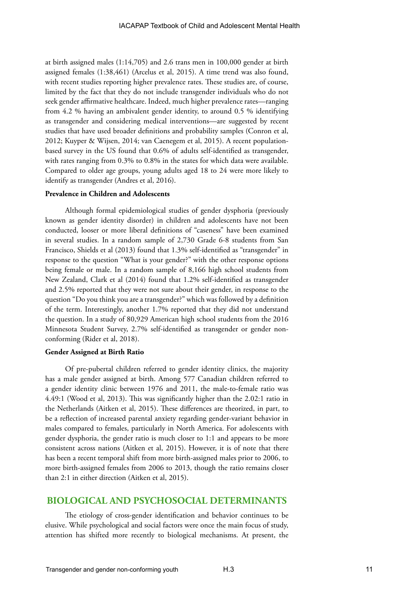at birth assigned males (1:14,705) and 2.6 trans men in 100,000 gender at birth assigned females (1:38,461) (Arcelus et al, 2015). A time trend was also found, with recent studies reporting higher prevalence rates. These studies are, of course, limited by the fact that they do not include transgender individuals who do not seek gender affirmative healthcare. Indeed, much higher prevalence rates—ranging from 4.2 % having an ambivalent gender identity, to around 0.5 % identifying as transgender and considering medical interventions—are suggested by recent studies that have used broader definitions and probability samples (Conron et al, 2012; Kuyper & Wijsen, 2014; van Caenegem et al, 2015). A recent populationbased survey in the US found that 0.6% of adults self-identified as transgender, with rates ranging from 0.3% to 0.8% in the states for which data were available. Compared to older age groups, young adults aged 18 to 24 were more likely to identify as transgender (Andres et al, 2016).

#### **Prevalence in Children and Adolescents**

Although formal epidemiological studies of gender dysphoria (previously known as gender identity disorder) in children and adolescents have not been conducted, looser or more liberal definitions of "caseness" have been examined in several studies. In a random sample of 2,730 Grade 6-8 students from San Francisco, Shields et al (2013) found that 1.3% self-identified as "transgender" in response to the question "What is your gender?" with the other response options being female or male. In a random sample of 8,166 high school students from New Zealand, Clark et al (2014) found that 1.2% self-identified as transgender and 2.5% reported that they were not sure about their gender, in response to the question "Do you think you are a transgender?" which was followed by a definition of the term. Interestingly, another 1.7% reported that they did not understand the question. In a study of 80,929 American high school students from the 2016 Minnesota Student Survey, 2.7% self-identified as transgender or gender nonconforming (Rider et al, 2018).

#### **Gender Assigned at Birth Ratio**

Of pre-pubertal children referred to gender identity clinics, the majority has a male gender assigned at birth. Among 577 Canadian children referred to a gender identity clinic between 1976 and 2011, the male-to-female ratio was 4.49:1 (Wood et al, 2013). This was significantly higher than the 2.02:1 ratio in the Netherlands (Aitken et al, 2015). These differences are theorized, in part, to be a reflection of increased parental anxiety regarding gender-variant behavior in males compared to females, particularly in North America. For adolescents with gender dysphoria, the gender ratio is much closer to 1:1 and appears to be more consistent across nations (Aitken et al, 2015). However, it is of note that there has been a recent temporal shift from more birth-assigned males prior to 2006, to more birth-assigned females from 2006 to 2013, though the ratio remains closer than 2:1 in either direction (Aitken et al, 2015).

#### **BIOLOGICAL AND PSYCHOSOCIAL DETERMINANTS**

The etiology of cross-gender identification and behavior continues to be elusive. While psychological and social factors were once the main focus of study, attention has shifted more recently to biological mechanisms. At present, the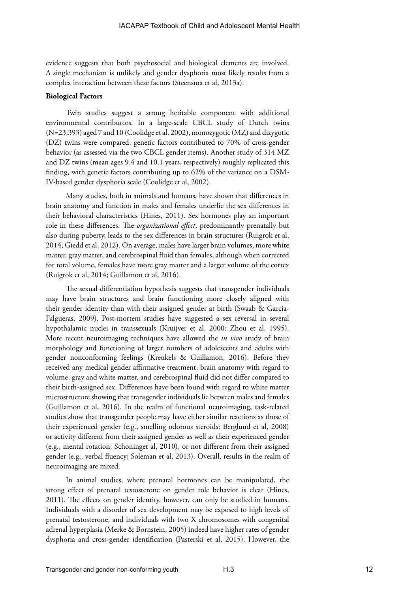evidence suggests that both psychosocial and biological elements are involved. A single mechanism is unlikely and gender dysphoria most likely results from a complex interaction between these factors (Steensma et al, 2013a).

#### **Biological Factors**

Twin studies suggest a strong heritable component with additional environmental contributors. In a large-scale CBCL study of Dutch twins (N=23,393) aged 7 and 10 (Coolidge et al, 2002), monozygotic (MZ) and dizygotic (DZ) twins were compared; genetic factors contributed to 70% of cross-gender behavior (as assessed via the two CBCL gender items). Another study of 314 MZ and DZ twins (mean ages 9.4 and 10.1 years, respectively) roughly replicated this finding, with genetic factors contributing up to 62% of the variance on a DSM-IV-based gender dysphoria scale (Coolidge et al, 2002).

Many studies, both in animals and humans, have shown that differences in brain anatomy and function in males and females underlie the sex differences in their behavioral characteristics (Hines, 2011). Sex hormones play an important role in these differences. The *organizational effect*, predominantly prenatally but also during puberty, leads to the sex differences in brain structures (Ruigrok et al, 2014; Giedd et al, 2012). On average, males have larger brain volumes, more white matter, gray matter, and cerebrospinal fluid than females, although when corrected for total volume, females have more gray matter and a larger volume of the cortex (Ruigrok et al, 2014; Guillamon et al, 2016).

The sexual differentiation hypothesis suggests that transgender individuals may have brain structures and brain functioning more closely aligned with their gender identity than with their assigned gender at birth (Swaab & Garcia-Falgueras, 2009). Post-mortem studies have suggested a sex reversal in several hypothalamic nuclei in transsexuals (Kruijver et al, 2000; Zhou et al, 1995). More recent neuroimaging techniques have allowed the *in vivo* study of brain morphology and functioning of larger numbers of adolescents and adults with gender nonconforming feelings (Kreukels & Guillamon, 2016). Before they received any medical gender affirmative treatment, brain anatomy with regard to volume, gray and white matter, and cerebrospinal fluid did not differ compared to their birth-assigned sex. Differences have been found with regard to white matter microstructure showing that transgender individuals lie between males and females (Guillamon et al, 2016). In the realm of functional neuroimaging, task-related studies show that transgender people may have either similar reactions as those of their experienced gender (e.g., smelling odorous steroids; Berglund et al, 2008) or activity different from their assigned gender as well as their experienced gender (e.g., mental rotation; Schoninget al, 2010), or not different from their assigned gender (e.g., verbal fluency; Soleman et al, 2013). Overall, results in the realm of neuroimaging are mixed.

In animal studies, where prenatal hormones can be manipulated, the strong effect of prenatal testosterone on gender role behavior is clear (Hines, 2011). The effects on gender identity, however, can only be studied in humans. Individuals with a disorder of sex development may be exposed to high levels of prenatal testosterone, and individuals with two X chromosomes with congenital adrenal hyperplasia (Merke & Bornstein, 2005) indeed have higher rates of gender dysphoria and cross-gender identification (Pasterski et al, 2015). However, the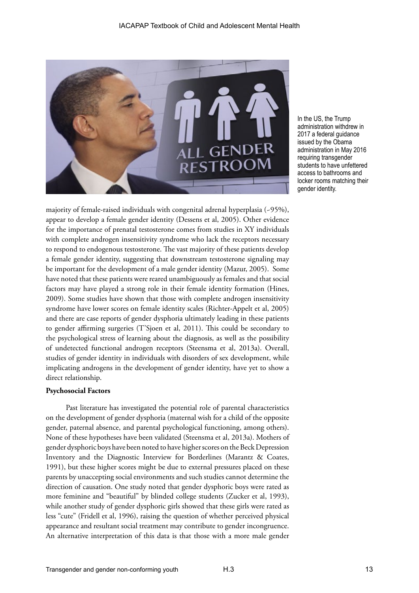

In the US, the Trump administration withdrew in 2017 a federal guidance issued by the Obama administration in May 2016 requiring transgender students to have unfettered access to bathrooms and locker rooms matching their gender identity.

majority of female-raised individuals with congenital adrenal hyperplasia (~95%), appear to develop a female gender identity (Dessens et al, 2005). Other evidence for the importance of prenatal testosterone comes from studies in XY individuals with complete androgen insensitivity syndrome who lack the receptors necessary to respond to endogenous testosterone. The vast majority of these patients develop a female gender identity, suggesting that downstream testosterone signaling may be important for the development of a male gender identity (Mazur, 2005). Some have noted that these patients were reared unambiguously as females and that social factors may have played a strong role in their female identity formation (Hines, 2009). Some studies have shown that those with complete androgen insensitivity syndrome have lower scores on female identity scales (Richter-Appelt et al, 2005) and there are case reports of gender dysphoria ultimately leading in these patients to gender affirming surgeries (T'Sjoen et al, 2011). This could be secondary to the psychological stress of learning about the diagnosis, as well as the possibility of undetected functional androgen receptors (Steensma et al, 2013a). Overall, studies of gender identity in individuals with disorders of sex development, while implicating androgens in the development of gender identity, have yet to show a direct relationship.

#### **Psychosocial Factors**

Past literature has investigated the potential role of parental characteristics on the development of gender dysphoria (maternal wish for a child of the opposite gender, paternal absence, and parental psychological functioning, among others). None of these hypotheses have been validated (Steensma et al, 2013a). Mothers of gender dysphoric boys have been noted to have higher scores on the Beck Depression Inventory and the Diagnostic Interview for Borderlines (Marantz & Coates, 1991), but these higher scores might be due to external pressures placed on these parents by unaccepting social environments and such studies cannot determine the direction of causation. One study noted that gender dysphoric boys were rated as more feminine and "beautiful" by blinded college students (Zucker et al, 1993), while another study of gender dysphoric girls showed that these girls were rated as less "cute" (Fridell et al, 1996), raising the question of whether perceived physical appearance and resultant social treatment may contribute to gender incongruence. An alternative interpretation of this data is that those with a more male gender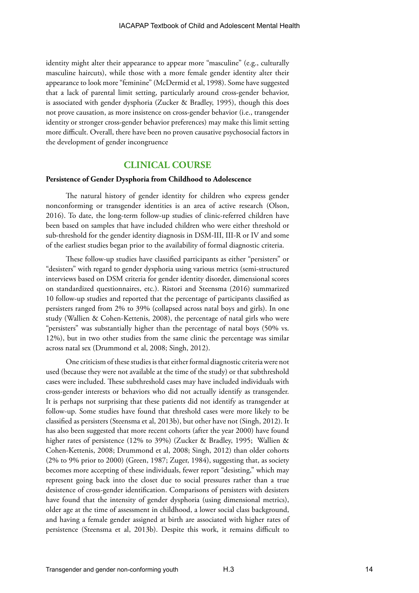identity might alter their appearance to appear more "masculine" (e.g., culturally masculine haircuts), while those with a more female gender identity alter their appearance to look more "feminine" (McDermid et al, 1998). Some have suggested that a lack of parental limit setting, particularly around cross-gender behavior, is associated with gender dysphoria (Zucker & Bradley, 1995), though this does not prove causation, as more insistence on cross-gender behavior (i.e., transgender identity or stronger cross-gender behavior preferences) may make this limit setting more difficult. Overall, there have been no proven causative psychosocial factors in the development of gender incongruence

#### **CLINICAL COURSE**

#### **Persistence of Gender Dysphoria from Childhood to Adolescence**

The natural history of gender identity for children who express gender nonconforming or transgender identities is an area of active research (Olson, 2016). To date, the long-term follow-up studies of clinic-referred children have been based on samples that have included children who were either threshold or sub-threshold for the gender identity diagnosis in DSM-III, III-R or IV and some of the earliest studies began prior to the availability of formal diagnostic criteria.

These follow-up studies have classified participants as either "persisters" or "desisters" with regard to gender dysphoria using various metrics (semi-structured interviews based on DSM criteria for gender identity disorder, dimensional scores on standardized questionnaires, etc.). Ristori and Steensma (2016) summarized 10 follow-up studies and reported that the percentage of participants classified as persisters ranged from 2% to 39% (collapsed across natal boys and girls). In one study (Wallien & Cohen-Kettenis, 2008), the percentage of natal girls who were "persisters" was substantially higher than the percentage of natal boys (50% vs. 12%), but in two other studies from the same clinic the percentage was similar across natal sex (Drummond et al, 2008; Singh, 2012).

One criticism of these studies is that either formal diagnostic criteria were not used (because they were not available at the time of the study) or that subthreshold cases were included. These subthreshold cases may have included individuals with cross-gender interests or behaviors who did not actually identify as transgender. It is perhaps not surprising that these patients did not identify as transgender at follow-up. Some studies have found that threshold cases were more likely to be classified as persisters (Steensma et al, 2013b), but other have not (Singh, 2012). It has also been suggested that more recent cohorts (after the year 2000) have found higher rates of persistence (12% to 39%) (Zucker & Bradley, 1995; Wallien & Cohen-Kettenis, 2008; Drummond et al, 2008; Singh, 2012) than older cohorts (2% to 9% prior to 2000) (Green, 1987; Zuger, 1984), suggesting that, as society becomes more accepting of these individuals, fewer report "desisting," which may represent going back into the closet due to social pressures rather than a true desistence of cross-gender identification. Comparisons of persisters with desisters have found that the intensity of gender dysphoria (using dimensional metrics), older age at the time of assessment in childhood, a lower social class background, and having a female gender assigned at birth are associated with higher rates of persistence (Steensma et al, 2013b). Despite this work, it remains difficult to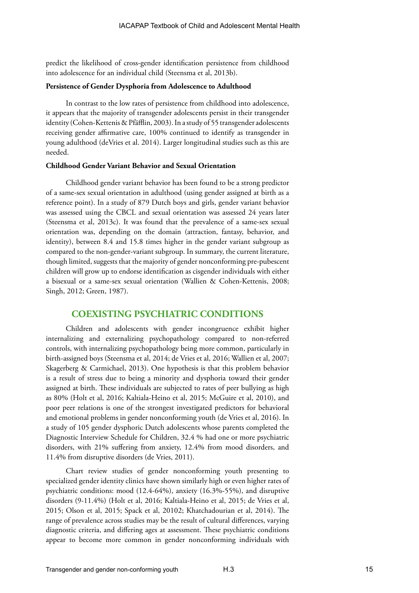predict the likelihood of cross-gender identification persistence from childhood into adolescence for an individual child (Steensma et al, 2013b).

#### **Persistence of Gender Dysphoria from Adolescence to Adulthood**

In contrast to the low rates of persistence from childhood into adolescence, it appears that the majority of transgender adolescents persist in their transgender identity (Cohen-Kettenis & Pfäfflin, 2003). In a study of 55 transgender adolescents receiving gender affirmative care, 100% continued to identify as transgender in young adulthood (deVries et al. 2014). Larger longitudinal studies such as this are needed.

#### **Childhood Gender Variant Behavior and Sexual Orientation**

Childhood gender variant behavior has been found to be a strong predictor of a same-sex sexual orientation in adulthood (using gender assigned at birth as a reference point). In a study of 879 Dutch boys and girls, gender variant behavior was assessed using the CBCL and sexual orientation was assessed 24 years later (Steensma et al, 2013c). It was found that the prevalence of a same-sex sexual orientation was, depending on the domain (attraction, fantasy, behavior, and identity), between 8.4 and 15.8 times higher in the gender variant subgroup as compared to the non-gender-variant subgroup. In summary, the current literature, though limited, suggests that the majority of gender nonconforming pre-pubescent children will grow up to endorse identification as cisgender individuals with either a bisexual or a same-sex sexual orientation (Wallien & Cohen-Kettenis, 2008; Singh, 2012; Green, 1987).

#### **COEXISTING PSYCHIATRIC CONDITIONS**

Children and adolescents with gender incongruence exhibit higher internalizing and externalizing psychopathology compared to non-referred controls, with internalizing psychopathology being more common, particularly in birth-assigned boys (Steensma et al, 2014; de Vries et al, 2016; Wallien et al, 2007; Skagerberg & Carmichael, 2013). One hypothesis is that this problem behavior is a result of stress due to being a minority and dysphoria toward their gender assigned at birth. These individuals are subjected to rates of peer bullying as high as 80% (Holt et al, 2016; Kaltiala-Heino et al, 2015; McGuire et al, 2010), and poor peer relations is one of the strongest investigated predictors for behavioral and emotional problems in gender nonconforming youth (de Vries et al, 2016). In a study of 105 gender dysphoric Dutch adolescents whose parents completed the Diagnostic Interview Schedule for Children, 32.4 % had one or more psychiatric disorders, with 21% suffering from anxiety, 12.4% from mood disorders, and 11.4% from disruptive disorders (de Vries, 2011).

Chart review studies of gender nonconforming youth presenting to specialized gender identity clinics have shown similarly high or even higher rates of psychiatric conditions: mood (12.4-64%), anxiety (16.3%-55%), and disruptive disorders (9-11.4%) (Holt et al, 2016; Kaltiala-Heino et al, 2015; de Vries et al, 2015; Olson et al, 2015; Spack et al, 20102; Khatchadourian et al, 2014). The range of prevalence across studies may be the result of cultural differences, varying diagnostic criteria, and differing ages at assessment. These psychiatric conditions appear to become more common in gender nonconforming individuals with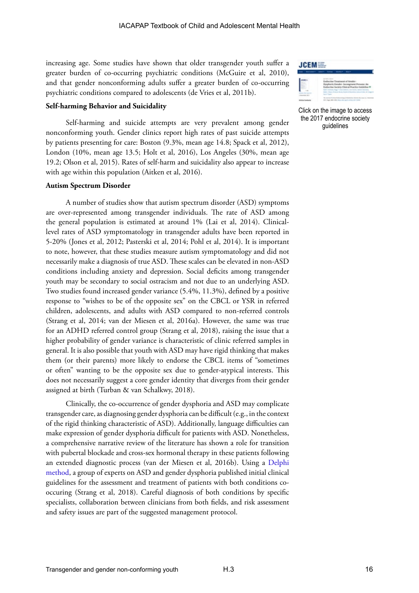increasing age. Some studies have shown that older transgender youth suffer a greater burden of co-occurring psychiatric conditions (McGuire et al, 2010), and that gender nonconforming adults suffer a greater burden of co-occurring psychiatric conditions compared to adolescents (de Vries et al, 2011b).

#### **Self-harming Behavior and Suicidality**

Self-harming and suicide attempts are very prevalent among gender nonconforming youth. Gender clinics report high rates of past suicide attempts by patients presenting for care: Boston (9.3%, mean age 14.8; Spack et al, 2012), London (10%, mean age 13.5; Holt et al, 2016), Los Angeles (30%, mean age 19.2; Olson et al, 2015). Rates of self-harm and suicidality also appear to increase with age within this population (Aitken et al, 2016).

#### **Autism Spectrum Disorder**

A number of studies show that autism spectrum disorder (ASD) symptoms are over-represented among transgender individuals. The rate of ASD among the general population is estimated at around 1% (Lai et al, 2014). Clinicallevel rates of ASD symptomatology in transgender adults have been reported in 5-20% (Jones et al, 2012; Pasterski et al, 2014; Pohl et al, 2014). It is important to note, however, that these studies measure autism symptomatology and did not necessarily make a diagnosis of true ASD. These scales can be elevated in non-ASD conditions including anxiety and depression. Social deficits among transgender youth may be secondary to social ostracism and not due to an underlying ASD. Two studies found increased gender variance (5.4%, 11.3%), defined by a positive response to "wishes to be of the opposite sex" on the CBCL or YSR in referred children, adolescents, and adults with ASD compared to non-referred controls (Strang et al, 2014; van der Miesen et al, 2016a). However, the same was true for an ADHD referred control group (Strang et al, 2018), raising the issue that a higher probability of gender variance is characteristic of clinic referred samples in general. It is also possible that youth with ASD may have rigid thinking that makes them (or their parents) more likely to endorse the CBCL items of "sometimes or often" wanting to be the opposite sex due to gender-atypical interests. This does not necessarily suggest a core gender identity that diverges from their gender assigned at birth (Turban & van Schalkwy, 2018).

Clinically, the co-occurrence of gender dysphoria and ASD may complicate transgender care, as diagnosing gender dysphoria can be difficult (e.g., in the context of the rigid thinking characteristic of ASD). Additionally, language difficulties can make expression of gender dysphoria difficult for patients with ASD. Nonetheless, a comprehensive narrative review of the literature has shown a role for transition with pubertal blockade and cross-sex hormonal therapy in these patients following an extended diagnostic process (van der Miesen et al, 2016b). Using a [Delphi](https://en.wikipedia.org/wiki/Delphi_method)  [method](https://en.wikipedia.org/wiki/Delphi_method), a group of experts on ASD and gender dysphoria published initial clinical guidelines for the assessment and treatment of patients with both conditions cooccuring (Strang et al, 2018). Careful diagnosis of both conditions by specific specialists, collaboration between clinicians from both fields, and risk assessment and safety issues are part of the suggested management protocol.



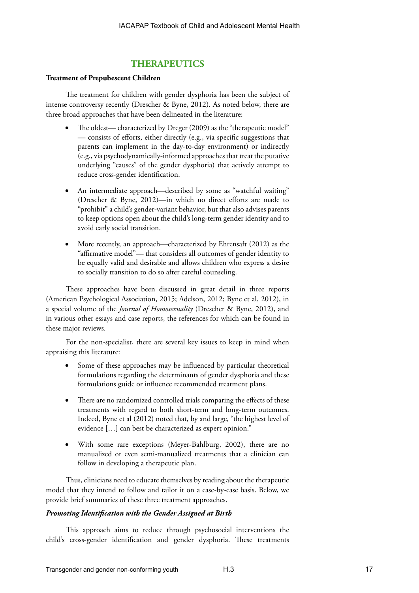## **THERAPEUTICS**

#### **Treatment of Prepubescent Children**

The treatment for children with gender dysphoria has been the subject of intense controversy recently (Drescher & Byne, 2012). As noted below, there are three broad approaches that have been delineated in the literature:

- The oldest— characterized by Dreger (2009) as the "therapeutic model" — consists of efforts, either directly (e.g., via specific suggestions that parents can implement in the day-to-day environment) or indirectly (e.g., via psychodynamically-informed approaches that treat the putative underlying "causes" of the gender dysphoria) that actively attempt to reduce cross-gender identification.
- An intermediate approach—described by some as "watchful waiting" (Drescher & Byne, 2012)—in which no direct efforts are made to "prohibit" a child's gender-variant behavior, but that also advises parents to keep options open about the child's long-term gender identity and to avoid early social transition.
- More recently, an approach—characterized by Ehrensaft (2012) as the "affirmative model"— that considers all outcomes of gender identity to be equally valid and desirable and allows children who express a desire to socially transition to do so after careful counseling.

These approaches have been discussed in great detail in three reports (American Psychological Association, 2015; Adelson, 2012; Byne et al, 2012), in a special volume of the *Journal of Homosexuality* (Drescher & Byne, 2012), and in various other essays and case reports, the references for which can be found in these major reviews.

For the non-specialist, there are several key issues to keep in mind when appraising this literature:

- Some of these approaches may be influenced by particular theoretical formulations regarding the determinants of gender dysphoria and these formulations guide or influence recommended treatment plans.
- There are no randomized controlled trials comparing the effects of these treatments with regard to both short-term and long-term outcomes. Indeed, Byne et al (2012) noted that, by and large, "the highest level of evidence […] can best be characterized as expert opinion."
- With some rare exceptions (Meyer-Bahlburg, 2002), there are no manualized or even semi-manualized treatments that a clinician can follow in developing a therapeutic plan.

Thus, clinicians need to educate themselves by reading about the therapeutic model that they intend to follow and tailor it on a case-by-case basis. Below, we provide brief summaries of these three treatment approaches.

#### *Promoting Identification with the Gender Assigned at Birth*

This approach aims to reduce through psychosocial interventions the child's cross-gender identification and gender dysphoria. These treatments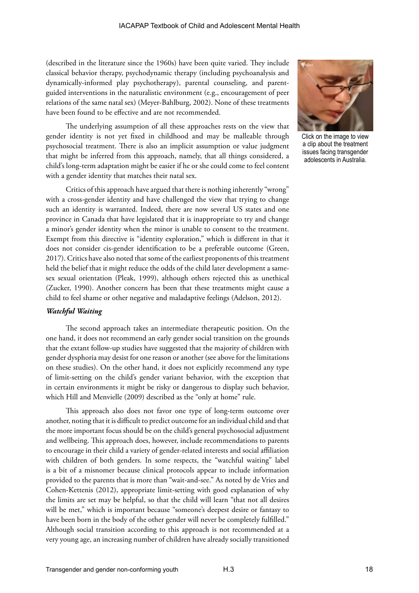(described in the literature since the 1960s) have been quite varied. They include classical behavior therapy, psychodynamic therapy (including psychoanalysis and dynamically-informed play psychotherapy), parental counseling, and parentguided interventions in the naturalistic environment (e.g., encouragement of peer relations of the same natal sex) (Meyer-Bahlburg, 2002). None of these treatments have been found to be effective and are not recommended.

The underlying assumption of all these approaches rests on the view that gender identity is not yet fixed in childhood and may be malleable through psychosocial treatment. There is also an implicit assumption or value judgment that might be inferred from this approach, namely, that all things considered, a child's long-term adaptation might be easier if he or she could come to feel content with a gender identity that matches their natal sex.

Critics of this approach have argued that there is nothing inherently "wrong" with a cross-gender identity and have challenged the view that trying to change such an identity is warranted. Indeed, there are now several US states and one province in Canada that have legislated that it is inappropriate to try and change a minor's gender identity when the minor is unable to consent to the treatment. Exempt from this directive is "identity exploration," which is different in that it does not consider cis-gender identification to be a preferable outcome (Green, 2017). Critics have also noted that some of the earliest proponents of this treatment held the belief that it might reduce the odds of the child later development a samesex sexual orientation (Pleak, 1999), although others rejected this as unethical (Zucker, 1990). Another concern has been that these treatments might cause a child to feel shame or other negative and maladaptive feelings (Adelson, 2012).

#### *Watchful Waiting*

The second approach takes an intermediate therapeutic position. On the one hand, it does not recommend an early gender social transition on the grounds that the extant follow-up studies have suggested that the majority of children with gender dysphoria may desist for one reason or another (see above for the limitations on these studies). On the other hand, it does not explicitly recommend any type of limit-setting on the child's gender variant behavior, with the exception that in certain environments it might be risky or dangerous to display such behavior, which Hill and Menvielle (2009) described as the "only at home" rule.

This approach also does not favor one type of long-term outcome over another, noting that it is difficult to predict outcome for an individual child and that the more important focus should be on the child's general psychosocial adjustment and wellbeing. This approach does, however, include recommendations to parents to encourage in their child a variety of gender-related interests and social affiliation with children of both genders. In some respects, the "watchful waiting" label is a bit of a misnomer because clinical protocols appear to include information provided to the parents that is more than "wait-and-see." As noted by de Vries and Cohen-Kettenis (2012), appropriate limit-setting with good explanation of why the limits are set may be helpful, so that the child will learn "that not all desires will be met," which is important because "someone's deepest desire or fantasy to have been born in the body of the other gender will never be completely fulfilled." Although social transition according to this approach is not recommended at a very young age, an increasing number of children have already socially transitioned



Click on the image to view a clip about the treatment issues facing transgender adolescents in Australia.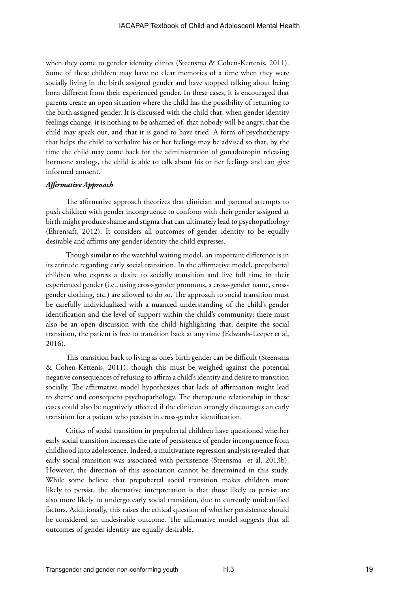when they come to gender identity clinics (Steensma & Cohen-Kettenis, 2011). Some of these children may have no clear memories of a time when they were socially living in the birth assigned gender and have stopped talking about being born different from their experienced gender. In these cases, it is encouraged that parents create an open situation where the child has the possibility of returning to the birth assigned gender. It is discussed with the child that, when gender identity feelings change, it is nothing to be ashamed of, that nobody will be angry, that the child may speak out, and that it is good to have tried. A form of psychotherapy that helps the child to verbalize his or her feelings may be advised so that, by the time the child may come back for the administration of gonadotropin releasing hormone analogs, the child is able to talk about his or her feelings and can give informed consent.

#### *Affirmative Approach*

The affirmative approach theorizes that clinician and parental attempts to push children with gender incongruence to conform with their gender assigned at birth might produce shame and stigma that can ultimately lead to psychopathology (Ehrensaft, 2012). It considers all outcomes of gender identity to be equally desirable and affirms any gender identity the child expresses.

Though similar to the watchful waiting model, an important difference is in its attitude regarding early social transition. In the affirmative model, prepubertal children who express a desire to socially transition and live full time in their experienced gender (i.e., using cross-gender pronouns, a cross-gender name, crossgender clothing, etc.) are allowed to do so. The approach to social transition must be carefully individualized with a nuanced understanding of the child's gender identification and the level of support within the child's community; there must also be an open discussion with the child highlighting that, despite the social transition, the patient is free to transition back at any time (Edwards-Leeper et al, 2016).

This transition back to living as one's birth gender can be difficult (Steensma & Cohen-Kettenis, 2011), though this must be weighed against the potential negative consequences of refusing to affirm a child's identity and desire to transition socially. The affirmative model hypothesizes that lack of affirmation might lead to shame and consequent psychopathology. The therapeutic relationship in these cases could also be negatively affected if the clinician strongly discourages an early transition for a patient who persists in cross-gender identification.

Critics of social transition in prepubertal children have questioned whether early social transition increases the rate of persistence of gender incongruence from childhood into adolescence. Indeed, a multivariate regression analysis revealed that early social transition was associated with persistence (Steensma et al, 2013b). However, the direction of this association cannot be determined in this study. While some believe that prepubertal social transition makes children more likely to persist, the alternative interpretation is that those likely to persist are also more likely to undergo early social transition, due to currently unidentified factors. Additionally, this raises the ethical question of whether persistence should be considered an undesirable outcome. The affirmative model suggests that all outcomes of gender identity are equally desirable.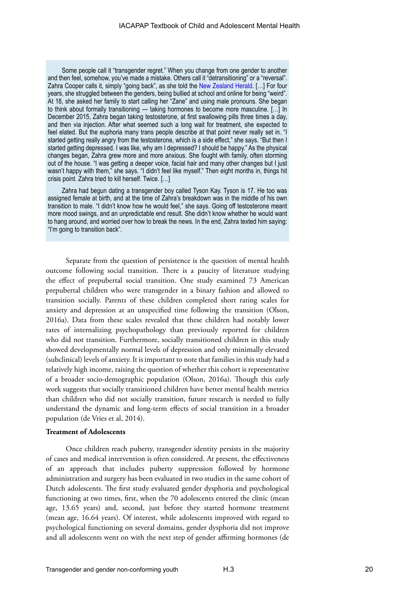Some people call it "transgender regret." When you change from one gender to another and then feel, somehow, you've made a mistake. Others call it "detransitioning" or a "reversal". Zahra Cooper calls it, simply "going back", as she told the [New Zealand Herald.](http://www.news.com.au/lifestyle/real-life/true-stories/it-sounds-weird-how-this-girl-became-a-boy-then-changed-her-mind/news-story/a50010fa8625fd6825834d04c8742d2f) [...] For four years, she struggled between the genders, being bullied at school and online for being "weird". At 18, she asked her family to start calling her "Zane" and using male pronouns. She began to think about formally transitioning — taking hormones to become more masculine. […] In December 2015, Zahra began taking testosterone, at first swallowing pills three times a day, and then via injection. After what seemed such a long wait for treatment, she expected to feel elated. But the euphoria many trans people describe at that point never really set in. "I started getting really angry from the testosterone, which is a side effect," she says. "But then I started getting depressed. I was like, why am I depressed? I should be happy." As the physical changes began, Zahra grew more and more anxious. She fought with family, often storming out of the house. "I was getting a deeper voice, facial hair and many other changes but I just wasn't happy with them," she says. "I didn't feel like myself." Then eight months in, things hit crisis point. Zahra tried to kill herself. Twice. […]

Zahra had begun dating a transgender boy called Tyson Kay. Tyson is 17. He too was assigned female at birth, and at the time of Zahra's breakdown was in the middle of his own transition to male. "I didn't know how he would feel," she says. Going off testosterone meant more mood swings, and an unpredictable end result. She didn't know whether he would want to hang around, and worried over how to break the news. In the end, Zahra texted him saying: "I'm going to transition back".

Separate from the question of persistence is the question of mental health outcome following social transition. There is a paucity of literature studying the effect of prepubertal social transition. One study examined 73 American prepubertal children who were transgender in a binary fashion and allowed to transition socially. Parents of these children completed short rating scales for anxiety and depression at an unspecified time following the transition (Olson, 2016a). Data from these scales revealed that these children had notably lower rates of internalizing psychopathology than previously reported for children who did not transition. Furthermore, socially transitioned children in this study showed developmentally normal levels of depression and only minimally elevated (subclinical) levels of anxiety. It is important to note that families in this study had a relatively high income, raising the question of whether this cohort is representative of a broader socio-demographic population (Olson, 2016a). Though this early work suggests that socially transitioned children have better mental health metrics than children who did not socially transition, future research is needed to fully understand the dynamic and long-term effects of social transition in a broader population (de Vries et al, 2014).

#### **Treatment of Adolescents**

Once children reach puberty, transgender identity persists in the majority of cases and medical intervention is often considered. At present, the effectiveness of an approach that includes puberty suppression followed by hormone administration and surgery has been evaluated in two studies in the same cohort of Dutch adolescents. The first study evaluated gender dysphoria and psychological functioning at two times, first, when the 70 adolescents entered the clinic (mean age, 13.65 years) and, second, just before they started hormone treatment (mean age, 16.64 years). Of interest, while adolescents improved with regard to psychological functioning on several domains, gender dysphoria did not improve and all adolescents went on with the next step of gender affirming hormones (de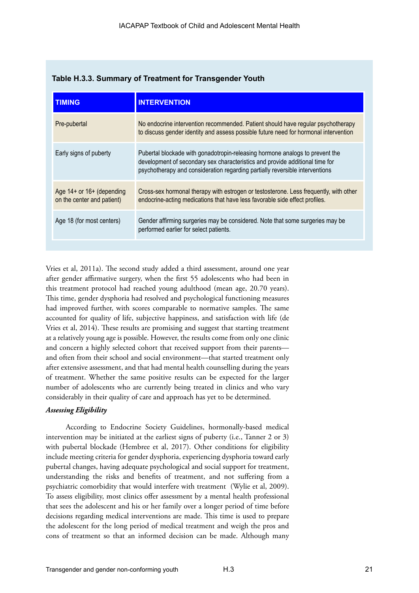| <b>TIMING</b>                                           | <b>INTERVENTION</b>                                                                                                                                                                                                                          |
|---------------------------------------------------------|----------------------------------------------------------------------------------------------------------------------------------------------------------------------------------------------------------------------------------------------|
| Pre-pubertal                                            | No endocrine intervention recommended. Patient should have regular psychotherapy<br>to discuss gender identity and assess possible future need for hormonal intervention                                                                     |
| Early signs of puberty                                  | Pubertal blockade with gonadotropin-releasing hormone analogs to prevent the<br>development of secondary sex characteristics and provide additional time for<br>psychotherapy and consideration regarding partially reversible interventions |
| Age 14+ or 16+ (depending<br>on the center and patient) | Cross-sex hormonal therapy with estrogen or testosterone. Less frequently, with other<br>endocrine-acting medications that have less favorable side effect profiles.                                                                         |
| Age 18 (for most centers)                               | Gender affirming surgeries may be considered. Note that some surgeries may be<br>performed earlier for select patients.                                                                                                                      |

#### **Table H.3.3. Summary of Treatment for Transgender Youth**

Vries et al, 2011a). The second study added a third assessment, around one year after gender affirmative surgery, when the first 55 adolescents who had been in this treatment protocol had reached young adulthood (mean age, 20.70 years). This time, gender dysphoria had resolved and psychological functioning measures had improved further, with scores comparable to normative samples. The same accounted for quality of life, subjective happiness, and satisfaction with life (de Vries et al, 2014). These results are promising and suggest that starting treatment at a relatively young age is possible. However, the results come from only one clinic and concern a highly selected cohort that received support from their parents and often from their school and social environment—that started treatment only after extensive assessment, and that had mental health counselling during the years of treatment. Whether the same positive results can be expected for the larger number of adolescents who are currently being treated in clinics and who vary considerably in their quality of care and approach has yet to be determined.

#### *Assessing Eligibility*

According to Endocrine Society Guidelines, hormonally-based medical intervention may be initiated at the earliest signs of puberty (i.e., Tanner 2 or 3) with pubertal blockade (Hembree et al, 2017). Other conditions for eligibility include meeting criteria for gender dysphoria, experiencing dysphoria toward early pubertal changes, having adequate psychological and social support for treatment, understanding the risks and benefits of treatment, and not suffering from a psychiatric comorbidity that would interfere with treatment (Wylie et al, 2009). To assess eligibility, most clinics offer assessment by a mental health professional that sees the adolescent and his or her family over a longer period of time before decisions regarding medical interventions are made. This time is used to prepare the adolescent for the long period of medical treatment and weigh the pros and cons of treatment so that an informed decision can be made. Although many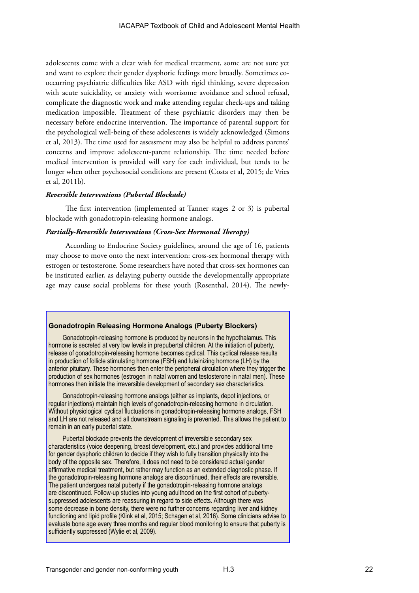adolescents come with a clear wish for medical treatment, some are not sure yet and want to explore their gender dysphoric feelings more broadly. Sometimes cooccurring psychiatric difficulties like ASD with rigid thinking, severe depression with acute suicidality, or anxiety with worrisome avoidance and school refusal, complicate the diagnostic work and make attending regular check-ups and taking medication impossible. Treatment of these psychiatric disorders may then be necessary before endocrine intervention. The importance of parental support for the psychological well-being of these adolescents is widely acknowledged (Simons et al, 2013). The time used for assessment may also be helpful to address parents' concerns and improve adolescent-parent relationship. The time needed before medical intervention is provided will vary for each individual, but tends to be longer when other psychosocial conditions are present (Costa et al, 2015; de Vries et al, 2011b).

#### *Reversible Interventions (Pubertal Blockade)*

The first intervention (implemented at Tanner stages 2 or 3) is pubertal blockade with gonadotropin-releasing hormone analogs.

#### *Partially-Reversible Interventions (Cross-Sex Hormonal Therapy)*

According to Endocrine Society guidelines, around the age of 16, patients may choose to move onto the next intervention: cross-sex hormonal therapy with estrogen or testosterone. Some researchers have noted that cross-sex hormones can be instituted earlier, as delaying puberty outside the developmentally appropriate age may cause social problems for these youth (Rosenthal, 2014). The newly-

#### **Gonadotropin Releasing Hormone Analogs (Puberty Blockers)**

Gonadotropin-releasing hormone is produced by neurons in the hypothalamus. This hormone is secreted at very low levels in prepubertal children. At the initiation of puberty, release of gonadotropin-releasing hormone becomes cyclical. This cyclical release results in production of follicle stimulating hormone (FSH) and luteinizing hormone (LH) by the anterior pituitary. These hormones then enter the peripheral circulation where they trigger the production of sex hormones (estrogen in natal women and testosterone in natal men). These hormones then initiate the irreversible development of secondary sex characteristics.

Gonadotropin-releasing hormone analogs (either as implants, depot injections, or regular injections) maintain high levels of gonadotropin-releasing hormone in circulation. Without physiological cyclical fluctuations in gonadotropin-releasing hormone analogs, FSH and LH are not released and all downstream signaling is prevented. This allows the patient to remain in an early pubertal state.

Pubertal blockade prevents the development of irreversible secondary sex characteristics (voice deepening, breast development, etc.) and provides additional time for gender dysphoric children to decide if they wish to fully transition physically into the body of the opposite sex. Therefore, it does not need to be considered actual gender affirmative medical treatment, but rather may function as an extended diagnostic phase. If the gonadotropin-releasing hormone analogs are discontinued, their effects are reversible. The patient undergoes natal puberty if the gonadotropin-releasing hormone analogs are discontinued. Follow-up studies into young adulthood on the first cohort of pubertysuppressed adolescents are reassuring in regard to side effects. Although there was some decrease in bone density, there were no further concerns regarding liver and kidney functioning and lipid profile (Klink et al, 2015; Schagen et al, 2016). Some clinicians advise to evaluate bone age every three months and regular blood monitoring to ensure that puberty is sufficiently suppressed (Wylie et al, 2009).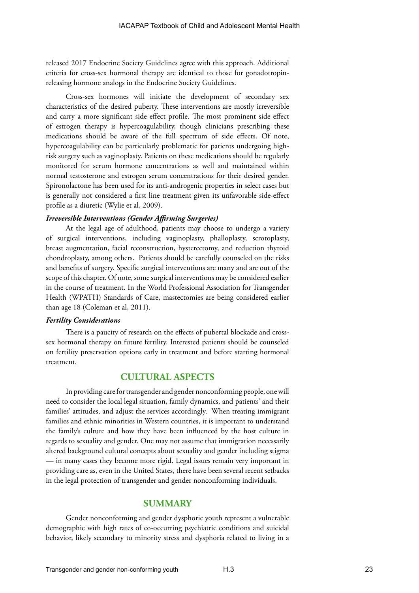released 2017 Endocrine Society Guidelines agree with this approach. Additional criteria for cross-sex hormonal therapy are identical to those for gonadotropinreleasing hormone analogs in the Endocrine Society Guidelines.

Cross-sex hormones will initiate the development of secondary sex characteristics of the desired puberty. These interventions are mostly irreversible and carry a more significant side effect profile. The most prominent side effect of estrogen therapy is hypercoagulability, though clinicians prescribing these medications should be aware of the full spectrum of side effects. Of note, hypercoagulability can be particularly problematic for patients undergoing highrisk surgery such as vaginoplasty. Patients on these medications should be regularly monitored for serum hormone concentrations as well and maintained within normal testosterone and estrogen serum concentrations for their desired gender. Spironolactone has been used for its anti-androgenic properties in select cases but is generally not considered a first line treatment given its unfavorable side-effect profile as a diuretic (Wylie et al, 2009).

#### *Irreversible Interventions (Gender Affirming Surgeries)*

At the legal age of adulthood, patients may choose to undergo a variety of surgical interventions, including vaginoplasty, phalloplasty, scrotoplasty, breast augmentation, facial reconstruction, hysterectomy, and reduction thyroid chondroplasty, among others. Patients should be carefully counseled on the risks and benefits of surgery. Specific surgical interventions are many and are out of the scope of this chapter. Of note, some surgical interventions may be considered earlier in the course of treatment. In the World Professional Association for Transgender Health (WPATH) Standards of Care, mastectomies are being considered earlier than age 18 (Coleman et al, 2011).

#### *Fertility Considerations*

There is a paucity of research on the effects of pubertal blockade and crosssex hormonal therapy on future fertility. Interested patients should be counseled on fertility preservation options early in treatment and before starting hormonal treatment.

#### **CULTURAL ASPECTS**

In providing care for transgender and gender nonconforming people, one will need to consider the local legal situation, family dynamics, and patients' and their families' attitudes, and adjust the services accordingly. When treating immigrant families and ethnic minorities in Western countries, it is important to understand the family's culture and how they have been influenced by the host culture in regards to sexuality and gender. One may not assume that immigration necessarily altered background cultural concepts about sexuality and gender including stigma — in many cases they become more rigid. Legal issues remain very important in providing care as, even in the United States, there have been several recent setbacks in the legal protection of transgender and gender nonconforming individuals.

#### **SUMMARY**

Gender nonconforming and gender dysphoric youth represent a vulnerable demographic with high rates of co-occurring psychiatric conditions and suicidal behavior, likely secondary to minority stress and dysphoria related to living in a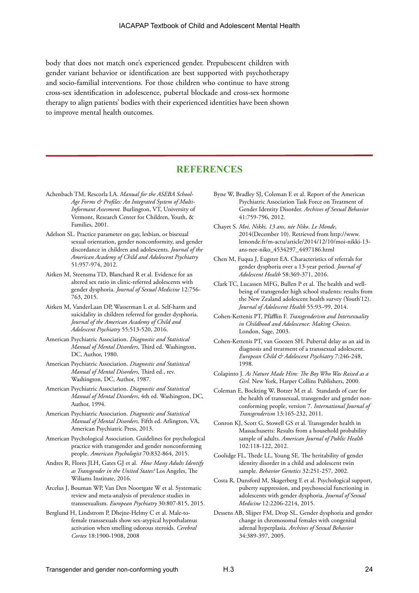body that does not match one's experienced gender. Prepubescent children with gender variant behavior or identification are best supported with psychotherapy and socio-familial interventions. For those children who continue to have strong cross-sex identification in adolescence, pubertal blockade and cross-sex hormone therapy to align patients' bodies with their experienced identities have been shown to improve mental health outcomes.

## **REFERENCES**

- Achenbach TM, Rescorla LA. *Manual for the ASEBA School-Age Forms & Profiles: An Integrated System of Multi-Informant Assesment.* Burlington, VT, University of Vermont, Research Center for Children, Youth, & Families, 2001.
- Adelson SL. Practice parameter on gay, lesbian, or bisexual sexual orientation, gender nonconformity, and gender discordance in children and adolescents. *Journal of the American Academy of Child and Adolescent Psychiatry*  51:957-974, 2012.
- Aitken M, Steensma TD, Blanchard R et al. Evidence for an altered sex ratio in clinic-referred adolescents with gender dysphoria. *Journal of Sexual Medicine* 12:756- 763, 2015.
- Aitken M, VanderLaan DP, Wasserman L et al. Self-harm and suicidality in children referred for gender dysphoria. *Journal of the American Academy of Child and Adolescent Psychiatry* 55:513-520, 2016.
- American Psychiatric Association. *Diagnostic and Statistical Manual of Mental Disorders*, Third ed. Washington, DC, Author, 1980.
- American Psychiatric Association. *Diagnostic and Statistical Manual of Mental Disorders*, Third ed., rev. Washington, DC, Author, 1987.
- American Psychiatric Association. *Diagnostic and Statistical Manual of Mental Disorders*, 4th ed. Washington, DC, Author, 1994.
- American Psychiatric Association. *Diagnostic and Statistical Manual of Mental Disorders,* Fifth ed. Arlington, VA, American Psychiatric Press, 2013.
- American Psychological Association. Guidelines for psychological practice with transgender and gender nonconforming people. *American Psychologist* 70:832-864, 2015.
- Andres R, Flores JLH, Gates GJ et al. *How Many Adults Identify as Transgender in the United States?* Los Angeles, The Wiliams Institute, 2016.
- Arcelus J, Bouman WP, Van Den Noortgate W et al. Systematic review and meta-analysis of prevalence studies in transsexualism. *European Psychiatry* 30:807-815, 2015.
- Berglund H, Lindstrom P, Dhejne-Helmy C et al. Male-tofemale transsexuals show sex-atypical hypothalamus activation when smelling odorous steroids. *Cerebral Cortex* 18:1900-1908, 2008
- Byne W, Bradley SJ, Coleman E et al. Report of the American Psychiatric Association Task Force on Treatment of Gender Identity Disorder. *Archives of Sexual Behavior* 41:759-796, 2012.
- Chayet S. *Moi, Nikki, 13 ans, née Niko*. *Le Monde*, 2014(December 10). Retrieved from http://www. lemonde.fr/m-actu/article/2014/12/10/moi-nikki-13 ans-nee-niko\_4534297\_4497186.html
- Chen M, Fuqua J, Eugster EA. Characteristics of referrals for gender dysphoria over a 13-year period. *Journal of Adolescent Health* 58:369-371, 2016.
- Clark TC, Lucassen MFG, Bullen P et al. The health and wellbeing of transgender high school students: results from the New Zealand adolescent health survey (Youth'12). *Journal of Adolescent Health* 55:93–99, 2014.
- Cohen-Kettenis PT, Pfäfflin F. *Transgenderism and Intersexuality in Childhood and Adolescence: Making Choices*. London, Sage, 2003.
- Cohen-Kettenis PT, van Goozen SH. Pubertal delay as an aid in diagnosis and treatment of a transsexual adolescent. *European Child & Adolescent Psychiatry* 7:246-248, 1998.
- Colapinto J. *As Nature Made Him: The Boy Who Was Raised as a Girl.* New York, Harper Collins Publishers, 2000.
- Coleman E, Bockting W, Botzer M et al. Standards of care for the health of transsexual, transgender and gender nonconforming people, version 7. *International Journal of Transgenderism* 13:165-232, 2011.
- Conron KJ, Scott G, Stowell GS et al. Transgender health in Massachusetts: Results from a household probability sample of adults. *American Journal of Public Health* 102:118-122, 2012.
- Coolidge FL, Thede LL, Young SE. The heritability of gender identity disorder in a child and adolescent twin sample. *Behavior Genetics* 32:251-257, 2002.
- Costa R, Dunsford M, Skagerberg E et al. Psychological support, puberty suppression, and psychosocial functioning in adolescents with gender dysphoria. *Journal of Sexual Medicine* 12:2206-2214, 2015.
- Dessens AB, Slijper FM, Drop SL. Gender dysphoria and gender change in chromosomal females with congenital adrenal hyperplasia. *Archives of Sexual Behavior*  34:389-397, 2005.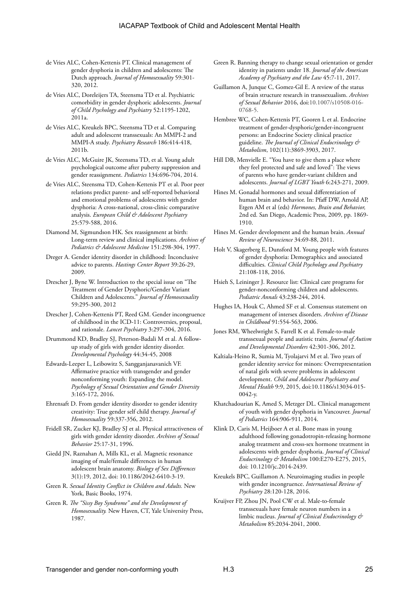- de Vries ALC, Cohen-Kettenis PT. Clinical management of gender dysphoria in children and adolescents: The Dutch approach. *Journal of Homosexuality* 59:301- 320, 2012.
- de Vries ALC, Doreleijers TA, Steensma TD et al. Psychiatric comorbidity in gender dysphoric adolescents. *Journal of Child Psychology and Psychiatry* 52:1195-1202, 2011a.
- de Vries ALC, Kreukels BPC, Steensma TD et al. Comparing adult and adolescent transsexuals: An MMPI-2 and MMPI-A study. *Psychiatry Research* 186:414-418, 2011b.
- de Vries ALC, McGuire JK, Steensma TD, et al. Young adult psychological outcome after puberty suppression and gender reassignment. *Pediatrics* 134:696-704, 2014.
- de Vries ALC, Steensma TD, Cohen-Kettenis PT et al. Poor peer relations predict parent- and self-reported behavioral and emotional problems of adolescents with gender dysphoria: A cross-national, cross-clinic comparative analysis. *European Child & Adolescent Psychiatry* 25:579-588, 2016.
- Diamond M, Sigmundson HK. Sex reassignment at birth: Long-term review and clinical implications. *Archives of Pediatrics & Adolescent Medicine* 151:298-304, 1997.
- Dreger A. Gender identity disorder in childhood: Inconclusive advice to parents. *Hastings Center Report* 39:26-29, 2009.
- Drescher J, Byne W. Introduction to the special issue on "The Treatment of Gender Dysphoric/Gender Variant Children and Adolescents." *Journal of Homosexuality*  59:295-300, 2012
- Drescher J, Cohen-Kettenis PT, Reed GM. Gender incongruence of childhood in the ICD-11: Controversies, proposal, and rationale. *Lancet Psychiatry* 3:297-304, 2016.
- Drummond KD, Bradley SJ, Peterson-Badali M et al. A followup study of girls with gender identity disorder. *Developmental Psychology* 44:34-45, 2008
- Edwards-Leeper L, Leibowitz S, Sangganjanavanich VF. Affirmative practice with transgender and gender nonconforming youth: Expanding the model. *Psychology of Sexual Orientation and Gender Diversity* 3:165-172, 2016.
- Ehrensaft D. From gender identity disorder to gender identity creativity: True gender self child therapy. *Journal of Homosexuality* 59:337-356, 2012.
- Fridell SR, Zucker KJ, Bradley SJ et al. Physical attractiveness of girls with gender identity disorder. *Archives of Sexual Behavior* 25:17-31, 1996.
- Giedd JN, Raznahan A, Mills KL, et al. Magnetic resonance imaging of male/female differences in human adolescent brain anatomy. *Biology of Sex Differences*  3(1):19, 2012, doi: 10.1186/2042-6410-3-19.
- Green R. *Sexual Identity Conflict in Children and Adults.* New York, Basic Books, 1974.
- Green R. *The "Sissy Boy Syndrome" and the Development of Homosexuality.* New Haven, CT, Yale University Press, 1987.
- Green R. Banning therapy to change sexual orientation or gender identity in patients under 18. *Journal of the American Academy of Psychiatry and the Law* 45:7-11, 2017.
- Guillamon A, Junque C, Gomez-Gil E. A review of the status of brain structure research in transsexualism. *Archives of Sexual Behavior* 2016, doi:10.1007/s10508-016- 0768-5.
- Hembree WC, Cohen-Kettenis PT, Gooren L et al. Endocrine treatment of gender-dysphoric/gender-incongruent persons: an Endocrine Society clinical practice guideline. *The Journal of Clinical Endocrinology & Metabolism*, 102(11):3869-3903, 2017.
- Hill DB, Menvielle E. "You have to give them a place where they feel protected and safe and loved": The views of parents who have gender-variant children and adolescents. *Journal of LGBT Youth* 6:243-271, 2009.
- Hines M. Gonadal hormones and sexual differentiation of human brain and behavior. In: Pfaff DW, Arnold AP, Etgen AM et al (eds) *Hormones, Brain and Behavior,*  2nd ed. San Diego, Academic Press, 2009, pp. 1869- 1910.
- Hines M. Gender development and the human brain. *Annual Review of Neuroscience* 34:69-88, 2011.
- Holt V, Skagerberg E, Dunsford M. Young people with features of gender dysphoria: Demographics and associated difficulties. *Clinical Child Psychology and Psychiatry*  21:108-118, 2016.
- Hsieh S, Leininger J. Resource list: Clinical care programs for gender-nonconforming children and adolescents. *Pediatric Annals* 43:238-244, 2014.
- Hughes IA, Houk C, Ahmed SF et al. Consensus statement on management of intersex disorders. *Archives of Disease in Childhood* 91:554-563, 2006.
- Jones RM, Wheelwright S, Farrell K et al. Female-to-male transsexual people and autistic traits. *Journal of Autism and Developmental Disorders* 42:301-306, 2012.
- Kaltiala-Heino R, Sumia M, Tyolajarvi M et al. Two years of gender identity service for minors: Overrepresentation of natal girls with severe problems in adolescent development. *Child and Adolescent Psychiatry and Mental Health* 9:9, 2015, doi:10.1186/s13034-015- 0042-y.
- Khatchadourian K, Amed S, Metzger DL. Clinical management of youth with gender dysphoria in Vancouver. *Journal of Pediatrics* 164:906-911, 2014.
- Klink D, Caris M, Heijboer A et al. Bone mass in young adulthood following gonadotropin-releasing hormone analog treatment and cross-sex hormone treatment in adolescents with gender dysphoria. *Journal of Clinical Endocrinology & Metabolism* 100:E270-E275, 2015, doi: 10.1210/jc.2014-2439.
- Kreukels BPC, Guillamon A. Neuroimaging studies in people with gender incongruence. *International Review of Psychiatry* 28:120-128, 2016.
- Kruijver FP, Zhou JN, Pool CW et al. Male-to-female transsexuals have female neuron numbers in a limbic nucleus. *Journal of Clinical Endocrinology & Metabolism* 85:2034-2041, 2000.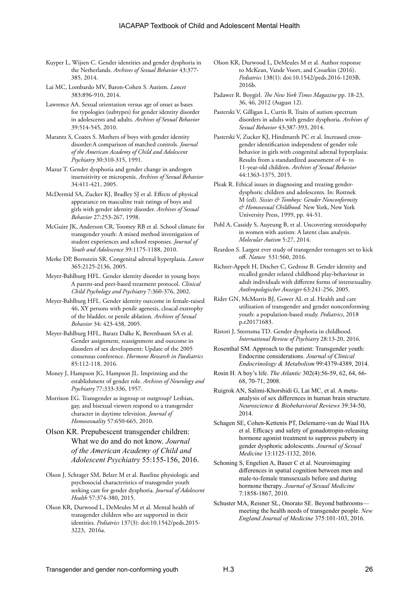- Kuyper L, Wijsen C. Gender identities and gender dysphoria in the Netherlands. *Archives of Sexual Behavior* 43:377- 385, 2014.
- Lai MC, Lombardo MV, Baron-Cohen S. Autism. *Lancet* 383:896-910, 2014.
- Lawrence AA. Sexual orientation versus age of onset as bases for typologies (subtypes) for gender identity disorder in adolescents and adults. *Archives of Sexual Behavior* 39:514-545, 2010.
- Marantz S, Coates S. Mothers of boys with gender identity disorder:A comparison of matched controls. *Journal of the American Academy of Child and Adolescent Psychiatry* 30:310-315, 1991.
- Mazur T. Gender dysphoria and gender change in androgen insensitivity or micropenis. *Archives of Sexual Behavior*  34:411-421, 2005.
- McDermid SA, Zucker KJ, Bradley SJ et al. Effects of physical appearance on masculine trait ratings of boys and girls with gender identity disorder. *Archives of Sexual Behavior* 27:253-267, 1998.
- McGuire JK, Anderson CR, Toomey RB et al. School climate for transgender youth: A mixed method investigation of student experiences and school responses. *Journal of Youth and Adolescence* 39:1175-1188, 2010.
- Merke DP, Bornstein SR. Congenital adrenal hyperplasia. *Lancet* 365:2125-2136, 2005.
- Meyer-Bahlburg HFL. Gender identity disorder in young boys: A parent-and peer-based treatment protocol. *Clinical Child Psychology and Psychiatry* 7:360-376, 2002.
- Meyer-Bahlburg HFL. Gender identity outcome in female-raised 46, XY persons with penile agenesis, cloacal exstrophy of the bladder, or penile ablation. *Archives of Sexual Behavior* 34: 423-438, 2005.
- Meyer-Bahlburg HFL, Baratz Dalke K, Berenbaum SA et al. Gender assignment, reassignment and outcome in disorders of sex development: Update of the 2005 consensus conference. *Hormone Research in Paediatrics*  85:112-118, 2016.
- Money J, Hampson JG, Hampson JL. Imprinting and the establishment of gender role. *Archives of Neurology and Psychiatry* 77:333-336, 1957.
- Morrison EG. Transgender as ingroup or outgroup? Lesbian, gay, and bisexual viewers respond to a transgender character in daytime television. *Journal of Homosexuality* 57:650-665, 2010.
- Olson KR. Prepubescent transgender children: What we do and do not know. *Journal of the American Academy of Child and Adolescent Psychiatry* 55:155-156, 2016.
- Olson J, Schrager SM, Belzer M et al. Baseline physiologic and psychosocial characteristics of transgender youth seeking care for gender dysphoria. *Journal of Adolescent Health* 57:374-380, 2015.
- Olson KR, Durwood L, DeMeules M et al. Mental health of transgender children who are supported in their identities. *Pediatrics* 137(3): doi:10.1542/peds.2015- 3223, 2016a.
- Olson KR, Durwood L, DeMeules M et al. Author response to McKean, Vande Voort, and Croarkin (2016). *Pediatrics* 138(1): doi:10.1542/peds.2016-1203B, 2016b.
- Padawer R. Boygirl. *The New York Times Magazine* pp. 18-23, 36, 46, 2012 (August 12).
- Pasterski V, Gilligan L, Curtis R. Traits of autism spectrum disorders in adults with gender dysphoria. *Archives of Sexual Behavior* 43:387-393, 2014.
- Pasterski V, Zucker KJ, Hindmarsh PC et al. Increased crossgender identification independent of gender role behavior in girls with congenital adrenal hyperplasia: Results from a standardized assessment of 4- to 11-year-old children. *Archives of Sexual Behavior*  44:1363-1375, 2015.
- Pleak R. Ethical issues in diagnosing and treating genderdysphoric children and adolescents. In: Rottnek M (ed). *Sissies & Tomboys: Gender Nonconformity & Homosexual Childhood.* New York, New York University Press, 1999, pp. 44-51.
- Pohl A, Cassidy S, Auyeung B, et al. Uncovering steroidopathy in women with autism: A latent class analysis. *Molecular Autism* 5:27, 2014.
- Reardon S. Largest ever study of transgender teenagers set to kick off. *Nature* 531:560, 2016.
- Richter-Appelt H, Discher C, Gedrose B. Gender identity and recalled gender related childhood play-behaviour in adult individuals with different forms of intersexuality. *Anthropologischer Anzeiger* 63:241-256, 2005.
- Rider GN, McMorris BJ, Gower AL et al. Health and care utilization of transgender and gender nonconforming youth: a population-based study. *Pediatrics*, 2018 p.e20171683.
- Ristori J, Steensma TD. Gender dysphoria in childhood. *International Review of Psychiatry* 28:13-20, 2016.
- Rosenthal SM. Approach to the patient: Transgender youth: Endocrine considerations. *Journal of Clinical Endocrinology & Metabolism* 99:4379-4389, 2014.
- Rosin H. A boy's life. *The Atlantic* 302(4):56-59, 62, 64, 66- 68, 70-71, 2008.
- Ruigrok AN, Salimi-Khorshidi G, Lai MC, et al. A metaanalysis of sex differences in human brain structure. *Neuroscience & Biobehavioral Reviews* 39:34-50, 2014.
- Schagen SE, Cohen-Kettenis PT, Delemarre-van de Waal HA et al. Efficacy and safety of gonadotropin-releasing hormone agonist treatment to suppress puberty in gender dysphoric adolescents. *Journal of Sexual Medicine* 13:1125-1132, 2016.
- Schoning S, Engelien A, Bauer C et al. Neuroimaging differences in spatial cognition between men and male-to-female transsexuals before and during hormone therapy. *Journal of Sexual Medicine*  7:1858-1867, 2010.
- Schuster MA, Reisner SL, Onorato SE. Beyond bathrooms meeting the health needs of transgender people. *New England Journal of Medicine* 375:101-103, 2016.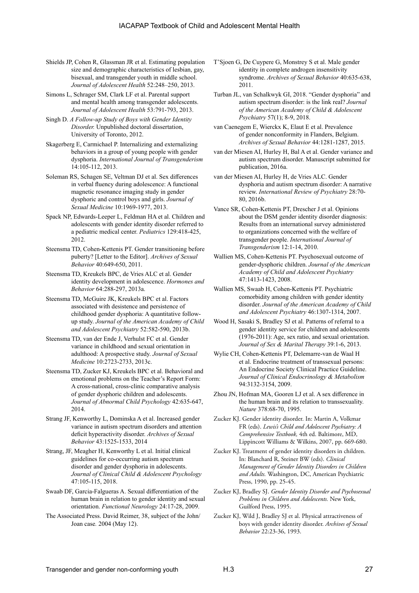- Shields JP, Cohen R, Glassman JR et al. Estimating population size and demographic characteristics of lesbian, gay, bisexual, and transgender youth in middle school. *Journal of Adolescent Health* 52:248–250, 2013.
- Simons L, Schrager SM, Clark LF et al. Parental support and mental health among transgender adolescents. *Journal of Adolescent Health* 53:791-793, 2013.
- Singh D. *A Follow-up Study of Boys with Gender Identity Disorder.* Unpublished doctoral dissertation, University of Toronto, 2012.
- Skagerberg E, Carmichael P. Internalizing and externalizing behaviors in a group of young people with gender dysphoria. *International Journal of Transgenderism*  14:105-112, 2013.
- Soleman RS, Schagen SE, Veltman DJ et al. Sex differences in verbal fluency during adolescence: A functional magnetic resonance imaging study in gender dysphoric and control boys and girls. *Journal of Sexual Medicine* 10:1969-1977, 2013.
- Spack NP, Edwards-Leeper L, Feldman HA et al. Children and adolescents with gender identity disorder referred to a pediatric medical center. *Pediatrics* 129:418-425, 2012.
- Steensma TD, Cohen-Kettenis PT. Gender transitioning before puberty? [Letter to the Editor]. *Archives of Sexual Behavior* 40:649-650, 2011.
- Steensma TD, Kreukels BPC, de Vries ALC et al. Gender identity development in adolescence. *Hormones and Behavior* 64:288-297, 2013a.
- Steensma TD, McGuire JK, Kreukels BPC et al. Factors associated with desistence and persistence of childhood gender dysphoria: A quantitative followup study. *Journal of the American Academy of Child and Adolescent Psychiatry* 52:582-590, 2013b.
- Steensma TD, van der Ende J, Verhulst FC et al. Gender variance in childhood and sexual orientation in adulthood: A prospective study. *Journal of Sexual Medicine* 10:2723-2733, 2013c.
- Steensma TD, Zucker KJ, Kreukels BPC et al. Behavioral and emotional problems on the Teacher's Report Form: A cross-national, cross-clinic comparative analysis of gender dysphoric children and adolescents. *Journal of Abnormal Child Psychology* 42:635-647, 2014.
- Strang JF, Kenworthy L, Dominska A et al. Increased gender variance in autism spectrum disorders and attention deficit hyperactivity disorder. *Archives of Sexual Behavior* 43:1525-1533, 2014
- Strang, JF, Meagher H, Kenworthy L et al. Initial clinical guidelines for co-occurring autism spectrum disorder and gender dysphoria in adolescents. *Journal of Clinical Child & Adolescent Psychology* 47:105-115, 2018.
- Swaab DF, Garcia-Falgueras A. Sexual differentiation of the human brain in relation to gender identity and sexual orientation. *Functional Neurology* 24:17-28, 2009.
- The Associated Press. David Reimer, 38, subject of the John/ Joan case*.* 2004 (May 12).
- T'Sjoen G, De Cuypere G, Monstrey S et al. Male gender identity in complete androgen insensitivity syndrome. *Archives of Sexual Behavior* 40:635-638, 2011.
- Turban JL, van Schalkwyk GI, 2018. "Gender dysphoria" and autism spectrum disorder: is the link real? *Journal of the American Academy of Child & Adolescent Psychiatry* 57(1); 8-9, 2018.
- van Caenegem E, Wierckx K, Elaut E et al. Prevalence of gender nonconformity in Flanders, Belgium. *Archives of Sexual Behavior* 44:1281-1287, 2015.
- van der Miesen AI, Hurley H, Bal A et al. Gender variance and autism spectrum disorder. Manuscript submitted for publication, 2016a.
- van der Miesen AI, Hurley H, de Vries ALC. Gender dysphoria and autism spectrum disorder: A narrative review. *International Review of Psychiatry* 28:70- 80, 2016b.
- Vance SR, Cohen-Kettenis PT, Drescher J et al. Opinions about the DSM gender identity disorder diagnosis: Results from an international survey administered to organizations concerned with the welfare of transgender people. *International Journal of Transgenderism* 12:1-14, 2010.
- Wallien MS, Cohen-Kettenis PT. Psychosexual outcome of gender-dysphoric children. *Journal of the American Academy of Child and Adolescent Psychiatry*  47:1413-1423, 2008.
- Wallien MS, Swaab H, Cohen-Kettenis PT. Psychiatric comorbidity among children with gender identity disorder. *Journal of the American Academy of Child and Adolescent Psychiatry* 46:1307-1314, 2007.
- Wood H, Sasaki S, Bradley SJ et al. Patterns of referral to a gender identity service for children and adolescents (1976-2011): Age, sex ratio, and sexual orientation. *Journal of Sex & Marital Therapy* 39:1-6, 2013.
- Wylie CH, Cohen-Kettenis PT, Delemarre-van de Waal H et al. Endocrine treatment of transsexual persons: An Endocrine Society Clinical Practice Guideline. *Journal of Clinical Endocrinology & Metabolism*  94:3132-3154, 2009.
- Zhou JN, Hofman MA, Gooren LJ et al. A sex difference in the human brain and its relation to transsexuality. *Nature* 378:68-70, 1995.
- Zucker KJ. Gender identity disorder. In: Martin A, Volkmar FR (eds). *Lewis's Child and Adolescent Psychiatry: A Comprehensive Textbook,* 4th ed. Baltimore, MD, Lippincott Williams & Wilkins, 2007, pp. 669-680.
- Zucker KJ. Treatment of gender identity disorders in children. In: Blanchard R, Steiner BW (eds). *Clinical Management of Gender Identity Disorders in Children and Adults.* Washington, DC, American Psychiatric Press, 1990, pp. 25-45.
- Zucker KJ, Bradley SJ. *Gender Identity Disorder and Psychosexual Problems in Children and Adolescents.* New York, Guilford Press, 1995.
- Zucker KJ, Wild J, Bradley SJ et al. Physical attractiveness of boys with gender identity disorder. *Archives of Sexual Behavior* 22:23-36, 1993.